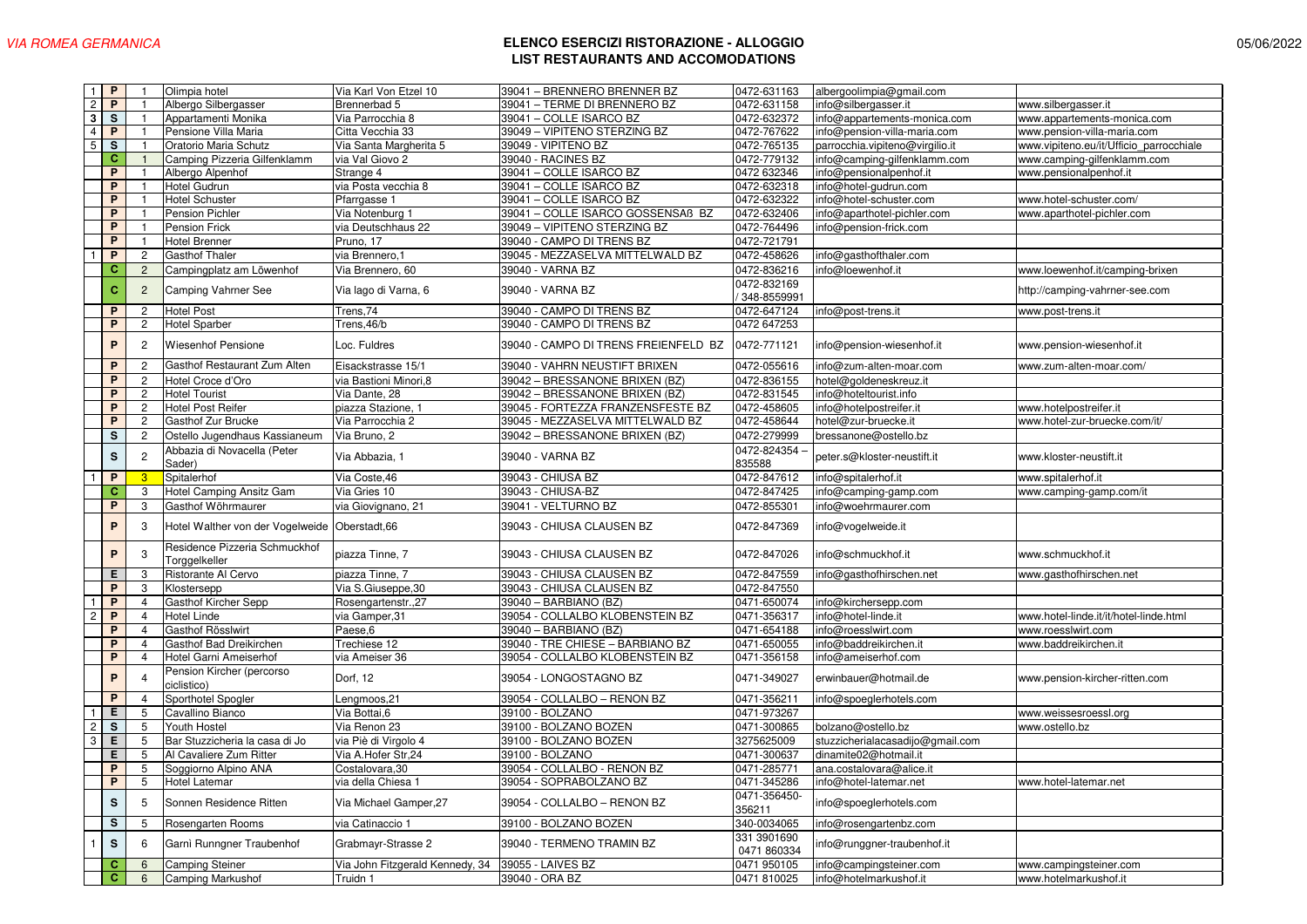| $\mathbf{1}$            | P.                      | $\mathbf{1}$    | Olimpia hotel                    | Via Karl Von Etzel 10           | 39041 - BRENNERO BRENNER BZ          | 0472-631163  | albergoolimpia@gmail.com         |                                         |
|-------------------------|-------------------------|-----------------|----------------------------------|---------------------------------|--------------------------------------|--------------|----------------------------------|-----------------------------------------|
| $\mathbf{2}$            | P                       | $\overline{1}$  | Albergo Silbergasser             | Brennerbad 5                    | 39041 - TERME DI BRENNERO BZ         | 0472-631158  | info@silbergasser.it             | www.silbergasser.it                     |
| $\overline{\mathbf{3}}$ | $\overline{\mathbf{s}}$ | $\mathbf{1}$    | Appartamenti Monika              | Via Parrocchia 8                | 39041 - COLLE ISARCO BZ              | 0472-632372  | info@appartements-monica.com     | www.appartements-monica.com             |
| $\overline{4}$          | P                       | $\mathbf{1}$    | Pensione Villa Maria             | Citta Vecchia 33                | 39049 – VIPITENO STERZING BZ         | 0472-767622  | info@pension-villa-maria.com     | www.pension-villa-maria.com             |
| 5                       | $\mathsf{s}$            | $\mathbf{1}$    | Oratorio Maria Schutz            | Via Santa Margherita 5          | 39049 - VIPITENO BZ                  | 0472-765135  | parrocchia.vipiteno@virgilio.it  | www.vipiteno.eu/it/Ufficio parrocchiale |
|                         | $\mathbf{C}$            | $\mathbf{1}$    | Camping Pizzeria Gilfenklamm     | via Val Giovo 2                 | 39040 - RACINES BZ                   | 0472-779132  | info@camping-gilfenklamm.com     | www.camping-gilfenklamm.com             |
|                         | P                       |                 | Albergo Alpenhof                 | Strange 4                       | 39041 - COLLE ISARCO BZ              | 0472 632346  | info@pensionalpenhof.it          | www.pensionalpenhof.it                  |
|                         | P                       | $\mathbf{1}$    | <b>Hotel Gudrun</b>              | via Posta vecchia 8             | 39041 - COLLE ISARCO BZ              | 0472-632318  | info@hotel-gudrun.com            |                                         |
|                         | P                       |                 | <b>Hotel Schuster</b>            | Pfarrgasse 1                    | 39041 - COLLE ISARCO BZ              | 0472-632322  | nfo@hotel-schuster.com           | www.hotel-schuster.com/                 |
|                         | P                       |                 | <b>Pension Pichler</b>           | Via Notenburg 1                 | 39041 - COLLE ISARCO GOSSENSAB BZ    | 0472-632406  | nfo@aparthotel-pichler.com       | www.aparthotel-pichler.com              |
|                         | P                       |                 | <b>Pension Frick</b>             | via Deutschhaus 22              | 39049 - VIPITENO STERZING BZ         | 0472-764496  | nfo@pension-frick.com            |                                         |
|                         | P                       | $\overline{1}$  | <b>Hotel Brenner</b>             | Pruno, 17                       | 39040 - CAMPO DI TRENS BZ            | 0472-721791  |                                  |                                         |
|                         | P                       | $\overline{2}$  | <b>Gasthof Thaler</b>            | via Brennero, 1                 | 39045 - MEZZASELVA MITTELWALD BZ     | 0472-458626  | info@gasthofthaler.com           |                                         |
|                         | c                       | $\overline{2}$  | Campingplatz am Löwenhof         | Via Brennero, 60                | 39040 - VARNA BZ                     | 0472-836216  | nfo@loewenhof.it                 | www.loewenhof.it/camping-brixen         |
|                         |                         |                 |                                  |                                 |                                      | 0472-832169  |                                  |                                         |
|                         | c                       | $\overline{2}$  | Camping Vahrner See              | Via lago di Varna, 6            | 39040 - VARNA BZ                     | 348-8559991  |                                  | http://camping-vahrner-see.com          |
|                         | P                       | $\overline{c}$  | <b>Hotel Post</b>                | Trens, 74                       | 39040 - CAMPO DI TRENS BZ            | 0472-647124  | info@post-trens.it               | www.post-trens.it                       |
|                         | P                       | $\mathbf{2}$    | <b>Hotel Sparber</b>             | Trens, 46/b                     | 39040 - CAMPO DI TRENS BZ            | 0472 647253  |                                  |                                         |
|                         |                         |                 |                                  |                                 |                                      |              |                                  |                                         |
|                         | P                       | $\overline{c}$  | <b>Wiesenhof Pensione</b>        | Loc. Fuldres                    | 39040 - CAMPO DI TRENS FREIENFELD BZ | 0472-771121  | nfo@pension-wiesenhof.it         | www.pension-wiesenhof.it                |
|                         | P                       | $\overline{c}$  | Gasthof Restaurant Zum Alten     | Eisackstrasse 15/1              | 39040 - VAHRN NEUSTIFT BRIXEN        | 0472-055616  | nfo@zum-alten-moar.com           | www.zum-alten-moar.com/                 |
|                         | P                       | $\overline{2}$  | Hotel Croce d'Oro                | via Bastioni Minori, 8          | 39042 - BRESSANONE BRIXEN (BZ)       | 0472-836155  | hotel@goldeneskreuz.it           |                                         |
|                         | P                       | $\overline{2}$  | <b>Hotel Tourist</b>             | Via Dante, 28                   | 39042 - BRESSANONE BRIXEN (BZ)       | 0472-831545  | info@hoteltourist.info           |                                         |
|                         | P                       | $\mathbf{2}$    | <b>Hotel Post Reifer</b>         | piazza Stazione, 1              | 39045 - FORTEZZA FRANZENSFESTE BZ    | 0472-458605  | info@hotelpostreifer.it          | www.hotelpostreifer.it                  |
|                         | P                       | $\mathbf{2}$    | Gasthof Zur Brucke               | Via Parrocchia 2                | 39045 - MEZZASELVA MITTELWALD BZ     | 0472-458644  | hotel@zur-bruecke.it             | www.hotel-zur-bruecke.com/it/           |
|                         | $\mathbf S$             | $\sqrt{2}$      | Ostello Jugendhaus Kassianeum    | Via Bruno, 2                    | 39042 - BRESSANONE BRIXEN (BZ)       | 0472-279999  | bressanone@ostello.bz            |                                         |
|                         |                         |                 | Abbazia di Novacella (Peter      |                                 |                                      | 0472-824354  |                                  |                                         |
|                         | $\mathbf S$             | $\sqrt{2}$      | Sader)                           | Via Abbazia, 1                  | 39040 - VARNA BZ                     | 835588       | peter.s@kloster-neustift.it      | www.kloster-neustift.it                 |
|                         | $\overline{P}$          | 3               | Spitalerhof                      | Via Coste, 46                   | 39043 - CHIUSA BZ                    | 0472-847612  | info@spitalerhof.it              | www.spitalerhof.it                      |
|                         | c                       | 3               | Hotel Camping Ansitz Gam         | Via Gries 10                    | 39043 - CHIUSA-BZ                    | 0472-847425  | nfo@camping-gamp.com             | www.camping-gamp.com/it                 |
|                         | P                       | 3               | Gasthof Wöhrmaurer               | via Giovignano, 21              | 39041 - VELTURNO BZ                  | 0472-855301  | info@woehrmaurer.com             |                                         |
|                         |                         |                 |                                  |                                 |                                      |              |                                  |                                         |
|                         | P                       | 3               | Hotel Walther von der Vogelweide | Oberstadt, 66                   | 39043 - CHIUSA CLAUSEN BZ            | 0472-847369  | nfo@vogelweide.it                |                                         |
|                         | P                       | 3               | Residence Pizzeria Schmuckhof    |                                 |                                      |              |                                  |                                         |
|                         |                         |                 | Torggelkeller                    | piazza Tinne, 7                 | 39043 - CHIUSA CLAUSEN BZ            | 0472-847026  | info@schmuckhof.it               | www.schmuckhof.it                       |
|                         | Е                       | 3               | Ristorante Al Cervo              | piazza Tinne, 7                 | 39043 - CHIUSA CLAUSEN BZ            | 0472-847559  | info@gasthofhirschen.net         | www.gasthofhirschen.net                 |
|                         | P                       | 3               | Klostersepp                      | Via S.Giuseppe, 30              | 39043 - CHIUSA CLAUSEN BZ            | 0472-847550  |                                  |                                         |
|                         | $\overline{P}$          | $\overline{4}$  | Gasthof Kircher Sepp             | Rosengartenstr., 27             | 39040 - BARBIANO (BZ)                | 0471-650074  | info@kirchersepp.com             |                                         |
| $\overline{c}$          | $\mathsf{P}$            | $\overline{4}$  | <b>Hotel Linde</b>               | via Gamper,31                   | 39054 - COLLALBO KLOBENSTEIN BZ      | 0471-356317  | nfo@hotel-linde.it               | www.hotel-linde.it/it/hotel-linde.html  |
|                         | $\overline{P}$          | $\overline{4}$  | Gasthof Rösslwirt                | Paese,6                         | 39040 - BARBIANO (BZ)                | 0471-654188  | nfo@roesslwirt.com               | www.roesslwirt.com                      |
|                         | $\mathsf{P}$            | $\overline{4}$  | Gasthof Bad Dreikirchen          | Trechiese 12                    | 39040 - TRE CHIESE - BARBIANO BZ     | 0471-650055  | info@baddreikirchen.it           | www.baddreikirchen.it                   |
|                         | $\overline{P}$          | $\overline{4}$  | Hotel Garni Ameiserhof           | via Ameiser 36                  | 39054 - COLLALBO KLOBENSTEIN BZ      | 0471-356158  | info@ameiserhof.com              |                                         |
|                         | P                       | $\overline{4}$  | Pension Kircher (percorso        | Dorf, 12                        | 39054 - LONGOSTAGNO BZ               | 0471-349027  | erwinbauer@hotmail.de            | www.pension-kircher-ritten.com          |
|                         |                         |                 | ciclistico)                      |                                 |                                      |              |                                  |                                         |
|                         | P                       | $\overline{4}$  | Sporthotel Spogler               | Lengmoos, 21                    | 39054 - COLLALBO - RENON BZ          | 0471-356211  | info@spoeglerhotels.com          |                                         |
|                         | Е                       | 5               | Cavallino Bianco                 | Via Bottai, 6                   | 39100 - BOLZANO                      | 0471-973267  |                                  | www.weissesroessl.org                   |
| $\overline{c}$          | <b>S</b>                | 5               | Youth Hostel                     | Via Renon 23                    | 39100 - BOLZANO BOZEN                | 0471-300865  | bolzano@ostello.bz               | www.ostello.bz                          |
| $\overline{3}$          | $\overline{E}$          | $5\phantom{.0}$ | Bar Stuzzicheria la casa di Jo   | via Piè di Virgolo 4            | 39100 - BOLZANO BOZEN                | 3275625009   | stuzzicherialacasadijo@gmail.com |                                         |
|                         | Е                       | 5               | Al Cavaliere Zum Ritter          | Via A.Hofer Str,24              | 39100 - BOLZANO                      | 0471-300637  | dinamite02@hotmail.it            |                                         |
|                         | P                       | 5               | Soggiorno Alpino ANA             | Costalovara, 30                 | 39054 - COLLALBO - RENON BZ          | 0471-285771  | ana.costalovara@alice.it         |                                         |
|                         | P                       | $5\phantom{.0}$ | Hotel Latemar                    | via della Chiesa 1              | 39054 - SOPRABOLZANO BZ              | 0471-345286  | info@hotel-latemar.net           | www.hotel-latemar.net                   |
|                         | s                       | 5               | Sonnen Residence Ritten          | Via Michael Gamper, 27          | 39054 - COLLALBO - RENON BZ          | 0471-356450- | info@spoeglerhotels.com          |                                         |
|                         |                         |                 |                                  |                                 |                                      | 356211       |                                  |                                         |
|                         | s                       | 5               | Rosengarten Rooms                | via Catinaccio 1                | 39100 - BOLZANO BOZEN                | 340-0034065  | info@rosengartenbz.com           |                                         |
|                         | s                       | 6               | Garni Runngner Traubenhof        | Grabmayr-Strasse 2              | 39040 - TERMENO TRAMIN BZ            | 331 3901690  | nfo@runggner-traubenhof.it       |                                         |
|                         |                         |                 |                                  |                                 |                                      | 0471 860334  |                                  |                                         |
|                         | c                       | $6\phantom{1}$  | <b>Camping Steiner</b>           | Via John Fitzgerald Kennedy, 34 | 39055 - LAIVES BZ                    | 0471 950105  | nfo@campingsteiner.com           | www.campingsteiner.com                  |
|                         | c                       | $6\phantom{1}$  | <b>Camping Markushof</b>         | Truidn 1                        | 39040 - ORA BZ                       | 0471 810025  | info@hotelmarkushof.it           | www.hotelmarkushof.it                   |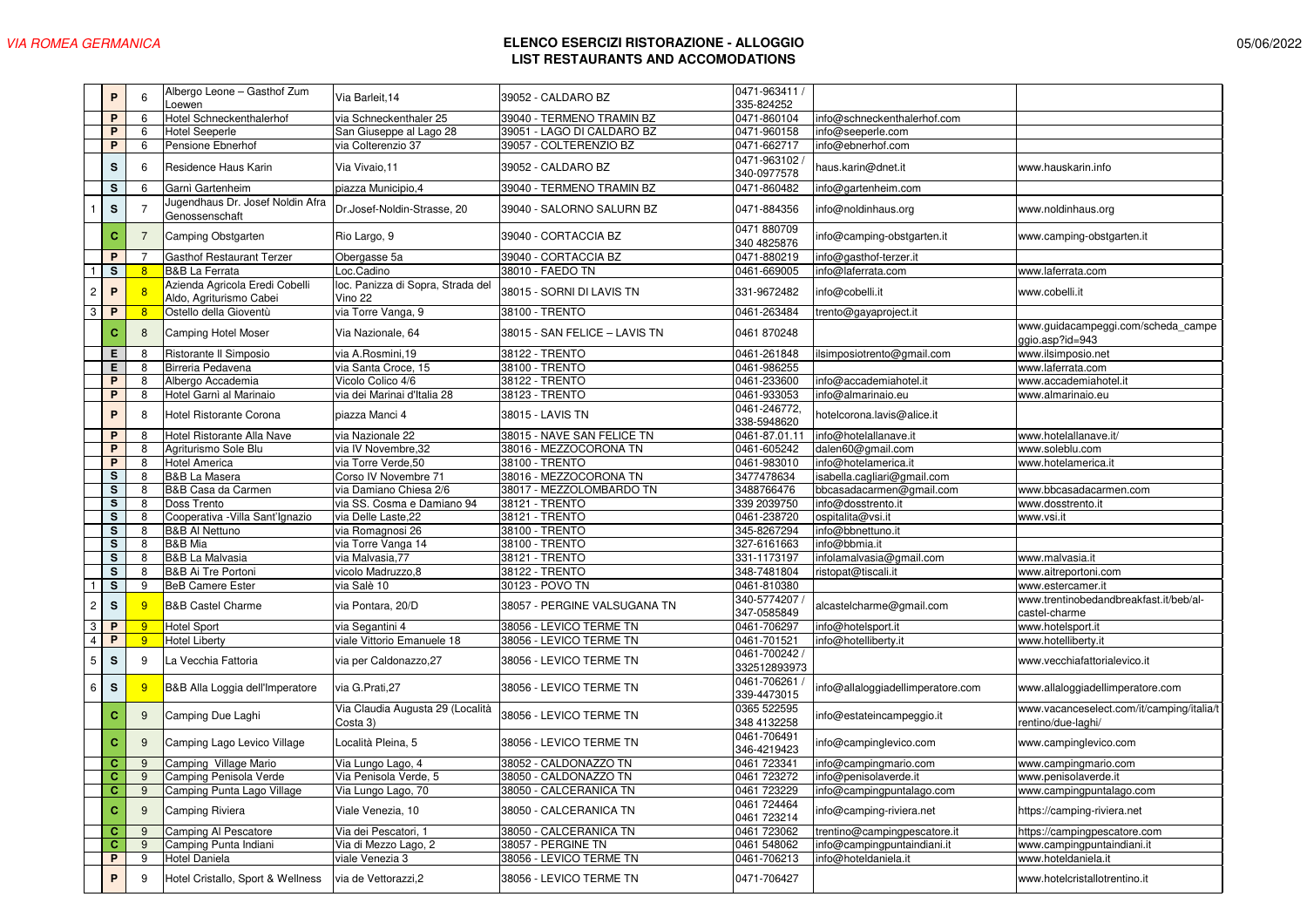| 0471-963411 /<br>Albergo Leone - Gasthof Zum<br>P<br>6<br>Via Barleit, 14<br>39052 - CALDARO BZ<br>335-824252<br>Loewen<br>39040 - TERMENO TRAMIN BZ<br>P<br>Hotel Schneckenthalerhof<br>via Schneckenthaler 25<br>0471-860104<br>6<br>nfo@schneckenthalerhof.com<br>P<br>San Giuseppe al Lago 28<br>39051 - LAGO DI CALDARO BZ<br>0471-960158<br>6<br><b>Hotel Seeperle</b><br>nfo@seeperle.com<br>P<br>6<br>via Colterenzio 37<br>39057 - COLTERENZIO BZ<br>0471-662717<br>Pensione Ebnerhof<br>nfo@ebnerhof.com<br>0471-963102<br>39052 - CALDARO BZ<br>s<br>Residence Haus Karin<br>Via Vivaio, 11<br>haus.karin@dnet.it<br>6<br>www.hauskarin.info<br>340-0977578<br>39040 - TERMENO TRAMIN BZ<br>0471-860482<br>s<br>6<br>Garnì Gartenheim<br>piazza Municipio, 4<br>nfo@gartenheim.com<br>Jugendhaus Dr. Josef Noldin Afra<br>s<br>0471-884356<br>Dr.Josef-Noldin-Strasse, 20<br>39040 - SALORNO SALURN BZ<br>1<br>7<br>info@noldinhaus.org<br>www.noldinhaus.org<br>Genossenschaft<br>0471 880709<br>с<br>$\overline{7}$<br>39040 - CORTACCIA BZ<br>Camping Obstgarten<br>Rio Largo, 9<br>nfo@camping-obstgarten.it<br>www.camping-obstgarten.it<br>340 4825876<br>P<br><b>Gasthof Restaurant Terzer</b><br>Obergasse 5a<br>39040 - CORTACCIA BZ<br>0471-880219<br>nfo@gasthof-terzer.it<br>s<br><b>B&amp;B</b> La Ferrata<br>Loc.Cadino<br>38010 - FAEDO TN<br>0461-669005<br>nfo@laferrata.com<br>8<br>www.laferrata.com<br>Azienda Agricola Eredi Cobelli<br>loc. Panizza di Sopra, Strada del<br>P<br>38015 - SORNI DI LAVIS TN<br>$\overline{c}$<br>8<br>331-9672482<br>info@cobelli.it<br>www.cobelli.it<br>Aldo, Agriturismo Cabei<br>Vino 22<br>$\mathbf{3}$<br>8<br>Ostello della Gioventù<br>P<br>via Torre Vanga, 9<br>38100 - TRENTO<br>0461-263484<br>trento@gayaproject.it<br>с<br>8<br>Camping Hotel Moser<br>Via Nazionale, 64<br>38015 - SAN FELICE - LAVIS TN<br>0461 870248<br>ggio.asp?id=943<br>38122 - TRENTO<br>E.<br>8<br>Ristorante II Simposio<br>via A.Rosmini,19<br>0461-261848<br>www.ilsimposio.net<br>lsimposiotrento@gmail.com<br>38100 - TRENTO<br>0461-986255<br>Е<br>8<br>Birreria Pedavena<br>via Santa Croce, 15<br>www.laferrata.com<br>P<br>38122 - TRENTO<br>0461-233600<br>8<br>Albergo Accademia<br>Vicolo Colico 4/6<br>nfo@accademiahotel.it<br>www.accademiahotel.it<br>P<br>Hotel Garnì al Marinaio<br>via dei Marinai d'Italia 28<br>38123 - TRENTO<br>0461-933053<br>8<br>nfo@almarinaio.eu<br>www.almarinaio.eu<br>0461-246772,<br>P<br>8<br>Hotel Ristorante Corona<br>38015 - LAVIS TN<br>piazza Manci 4<br>notelcorona.lavis@alice.it<br>338-5948620<br>Hotel Ristorante Alla Nave<br>via Nazionale 22<br>38015 - NAVE SAN FELICE TN<br>0461-87.01.11<br>P<br>info@hotelallanave.it<br>www.hotelallanave.it/<br>8<br>P<br>8<br>Agriturismo Sole Blu<br>via IV Novembre, 32<br>38016 - MEZZOCORONA TN<br>0461-605242<br>dalen60@gmail.com<br>www.soleblu.com<br>P<br>38100 - TRENTO<br>8<br><b>Hotel America</b><br>via Torre Verde,50<br>0461-983010<br>nfo@hotelamerica.it<br>www.hotelamerica.it<br>Corso IV Novembre 71<br>38016 - MEZZOCORONA TN<br>s<br><b>B&amp;B La Masera</b><br>3477478634<br>sabella.cagliari@gmail.com<br>8<br>s<br>B&B Casa da Carmen<br>via Damiano Chiesa 2/6<br>38017 - MEZZOLOMBARDO TN<br>3488766476<br>8<br>bbcasadacarmen@gmail.com<br>www.bbcasadacarmen.com<br>s<br>via SS. Cosma e Damiano 94<br>info@dosstrento.it<br>8<br>Doss Trento<br>38121 - TRENTO<br>339 2039750<br>www.dosstrento.it<br>38121 - TRENTO<br>s<br>Cooperativa - Villa Sant'Ignazio<br>via Delle Laste, 22<br>0461-238720<br>ospitalita@vsi.it<br>8<br>www.vsi.it<br>s<br>38100 - TRENTO<br>345-8267294<br>8<br><b>B&amp;B AI Nettuno</b><br>via Romagnosi 26<br>nfo@bbnettuno.it<br>s<br><b>B&amp;B</b> Mia<br>38100 - TRENTO<br>327-6161663<br>8<br>via Torre Vanga 14<br>nfo@bbmia.it<br>38121 - TRENTO<br>s<br>8<br><b>B&amp;B La Malvasia</b><br>via Malvasia,77<br>331-1173197<br>nfolamalvasia@gmail.com<br>www.malvasia.it<br>s<br>B&B Ai Tre Portoni<br>38122 - TRENTO<br>vicolo Madruzzo, 8<br>348-7481804<br>ristopat@tiscali.it<br>8<br>www.aitreportoni.com<br>s<br>9<br><b>BeB Camere Ester</b><br>via Salè 10<br>30123 - POVO TN<br>0461-810380<br>$\overline{1}$<br>www.estercamer.it<br>340-5774207<br>www.trentinobedandbreakfast.it/beb/al-<br>$\overline{c}$<br>$\mathsf{s}$<br>9<br><b>B&amp;B Castel Charme</b><br>38057 - PERGINE VALSUGANA TN<br>via Pontara, 20/D<br>alcastelcharme@gmail.com<br>347-0585849<br>castel-charme<br>$\mathbf{3}$<br>38056 - LEVICO TERME TN<br>info@hotelsport.it<br>P<br>9<br>Hotel Sport<br>via Segantini 4<br>0461-706297<br>www.hotelsport.it<br>$\overline{4}$<br>viale Vittorio Emanuele 18<br>P<br>9<br><b>Hotel Liberty</b><br>38056 - LEVICO TERME TN<br>0461-701521<br>nfo@hotelliberty.it<br>www.hotelliberty.it<br>0461-700242<br>S<br>$5\phantom{.0}$<br>9<br>La Vecchia Fattoria<br>38056 - LEVICO TERME TN<br>www.vecchiafattorialevico.it<br>via per Caldonazzo,27<br>332512893973<br>0461-706261<br>s<br>6<br>9<br>B&B Alla Loggia dell'Imperatore<br>via G.Prati, 27<br>38056 - LEVICO TERME TN<br>info@allaloggiadellimperatore.com<br>www.allaloggiadellimperatore.com<br>339-4473015<br>0365 522595<br>Via Claudia Augusta 29 (Località<br>9<br>с<br>Camping Due Laghi<br>38056 - LEVICO TERME TN<br>nfo@estateincampeggio.it<br>348 4132258<br>Costa 3)<br>rentino/due-laghi/<br>0461-706491<br>c<br>9<br>Camping Lago Levico Village<br>Località Pleina, 5<br>38056 - LEVICO TERME TN<br>nfo@campinglevico.com<br>www.campinglevico.com<br>346-4219423<br>38052 - CALDONAZZO TN<br>0461 723341<br>c<br>9<br>Camping Village Mario<br>Via Lungo Lago, 4<br>info@campingmario.com<br>www.campingmario.com<br>C.<br>9<br>Via Penisola Verde, 5<br>38050 - CALDONAZZO TN<br>0461 723272<br>Camping Penisola Verde<br>info@penisolaverde.it<br>www.penisolaverde.it<br>C.<br>9<br>Camping Punta Lago Village<br>38050 - CALCERANICA TN<br>0461 723229<br>info@campingpuntalago.com<br>Via Lungo Lago, 70<br>www.campingpuntalago.com<br>0461 724464<br>c<br>9<br>Camping Riviera<br>Viale Venezia, 10<br>38050 - CALCERANICA TN<br>nfo@camping-riviera.net<br>https://camping-riviera.net<br>0461 723214<br>38050 - CALCERANICA TN<br>$\mathbf{C}$<br>Camping Al Pescatore<br>Via dei Pescatori, 1<br>9<br>0461 723062<br>trentino@campingpescatore.it<br>https://campingpescatore.com<br>Camping Punta Indiani<br>38057 - PERGINE TN<br>C.<br>Via di Mezzo Lago, 2<br>0461 548062<br>info@campingpuntaindiani.it<br>9<br>www.campingpuntaindiani.it<br>P<br>38056 - LEVICO TERME TN<br>9<br><b>Hotel Daniela</b><br>viale Venezia 3<br>0461-706213<br>nfo@hoteldaniela.it<br>www.hoteldaniela.it<br>P.<br>via de Vettorazzi,2<br>0471-706427<br>9<br>Hotel Cristallo, Sport & Wellness<br>38056 - LEVICO TERME TN<br>www.hotelcristallotrentino.it |  |  |  |  |                                           |
|----------------------------------------------------------------------------------------------------------------------------------------------------------------------------------------------------------------------------------------------------------------------------------------------------------------------------------------------------------------------------------------------------------------------------------------------------------------------------------------------------------------------------------------------------------------------------------------------------------------------------------------------------------------------------------------------------------------------------------------------------------------------------------------------------------------------------------------------------------------------------------------------------------------------------------------------------------------------------------------------------------------------------------------------------------------------------------------------------------------------------------------------------------------------------------------------------------------------------------------------------------------------------------------------------------------------------------------------------------------------------------------------------------------------------------------------------------------------------------------------------------------------------------------------------------------------------------------------------------------------------------------------------------------------------------------------------------------------------------------------------------------------------------------------------------------------------------------------------------------------------------------------------------------------------------------------------------------------------------------------------------------------------------------------------------------------------------------------------------------------------------------------------------------------------------------------------------------------------------------------------------------------------------------------------------------------------------------------------------------------------------------------------------------------------------------------------------------------------------------------------------------------------------------------------------------------------------------------------------------------------------------------------------------------------------------------------------------------------------------------------------------------------------------------------------------------------------------------------------------------------------------------------------------------------------------------------------------------------------------------------------------------------------------------------------------------------------------------------------------------------------------------------------------------------------------------------------------------------------------------------------------------------------------------------------------------------------------------------------------------------------------------------------------------------------------------------------------------------------------------------------------------------------------------------------------------------------------------------------------------------------------------------------------------------------------------------------------------------------------------------------------------------------------------------------------------------------------------------------------------------------------------------------------------------------------------------------------------------------------------------------------------------------------------------------------------------------------------------------------------------------------------------------------------------------------------------------------------------------------------------------------------------------------------------------------------------------------------------------------------------------------------------------------------------------------------------------------------------------------------------------------------------------------------------------------------------------------------------------------------------------------------------------------------------------------------------------------------------------------------------------------------------------------------------------------------------------------------------------------------------------------------------------------------------------------------------------------------------------------------------------------------------------------------------------------------------------------------------------------------------------------------------------------------------------------------------------------------------------------------------------------------------------------------------------------------------------------------------------------------------------------------------------------------------------------------------------------------------------------------------------------------------------------------------------------------------------------------------------------------------------------------------------------------------------------------------------------------------------------------------------------------------------------------------------------------------------------------------------------------------------------------------------------------------------------------------------------------------------------------------------------------------------------------------------------------------------------------------------------------------------------------------------------------------------------------------------------------------------------------------------------------------------------------------------------------------------------------------------------------------------------------------------------------------------------------------------------------------------------------------------------------------------------------------------------------------------------------------------------------------------------------------------------------------------------------------------------------------------------------------------------------------------------------------------------------------------------------------------------------------------------------------|--|--|--|--|-------------------------------------------|
|                                                                                                                                                                                                                                                                                                                                                                                                                                                                                                                                                                                                                                                                                                                                                                                                                                                                                                                                                                                                                                                                                                                                                                                                                                                                                                                                                                                                                                                                                                                                                                                                                                                                                                                                                                                                                                                                                                                                                                                                                                                                                                                                                                                                                                                                                                                                                                                                                                                                                                                                                                                                                                                                                                                                                                                                                                                                                                                                                                                                                                                                                                                                                                                                                                                                                                                                                                                                                                                                                                                                                                                                                                                                                                                                                                                                                                                                                                                                                                                                                                                                                                                                                                                                                                                                                                                                                                                                                                                                                                                                                                                                                                                                                                                                                                                                                                                                                                                                                                                                                                                                                                                                                                                                                                                                                                                                                                                                                                                                                                                                                                                                                                                                                                                                                                                                                                                                                                                                                                                                                                                                                                                                                                                                                                                                                                                                                                                                                                                                                                                                                                                                                                                                                                                                                                                                                                                                                                    |  |  |  |  |                                           |
|                                                                                                                                                                                                                                                                                                                                                                                                                                                                                                                                                                                                                                                                                                                                                                                                                                                                                                                                                                                                                                                                                                                                                                                                                                                                                                                                                                                                                                                                                                                                                                                                                                                                                                                                                                                                                                                                                                                                                                                                                                                                                                                                                                                                                                                                                                                                                                                                                                                                                                                                                                                                                                                                                                                                                                                                                                                                                                                                                                                                                                                                                                                                                                                                                                                                                                                                                                                                                                                                                                                                                                                                                                                                                                                                                                                                                                                                                                                                                                                                                                                                                                                                                                                                                                                                                                                                                                                                                                                                                                                                                                                                                                                                                                                                                                                                                                                                                                                                                                                                                                                                                                                                                                                                                                                                                                                                                                                                                                                                                                                                                                                                                                                                                                                                                                                                                                                                                                                                                                                                                                                                                                                                                                                                                                                                                                                                                                                                                                                                                                                                                                                                                                                                                                                                                                                                                                                                                                    |  |  |  |  |                                           |
|                                                                                                                                                                                                                                                                                                                                                                                                                                                                                                                                                                                                                                                                                                                                                                                                                                                                                                                                                                                                                                                                                                                                                                                                                                                                                                                                                                                                                                                                                                                                                                                                                                                                                                                                                                                                                                                                                                                                                                                                                                                                                                                                                                                                                                                                                                                                                                                                                                                                                                                                                                                                                                                                                                                                                                                                                                                                                                                                                                                                                                                                                                                                                                                                                                                                                                                                                                                                                                                                                                                                                                                                                                                                                                                                                                                                                                                                                                                                                                                                                                                                                                                                                                                                                                                                                                                                                                                                                                                                                                                                                                                                                                                                                                                                                                                                                                                                                                                                                                                                                                                                                                                                                                                                                                                                                                                                                                                                                                                                                                                                                                                                                                                                                                                                                                                                                                                                                                                                                                                                                                                                                                                                                                                                                                                                                                                                                                                                                                                                                                                                                                                                                                                                                                                                                                                                                                                                                                    |  |  |  |  |                                           |
|                                                                                                                                                                                                                                                                                                                                                                                                                                                                                                                                                                                                                                                                                                                                                                                                                                                                                                                                                                                                                                                                                                                                                                                                                                                                                                                                                                                                                                                                                                                                                                                                                                                                                                                                                                                                                                                                                                                                                                                                                                                                                                                                                                                                                                                                                                                                                                                                                                                                                                                                                                                                                                                                                                                                                                                                                                                                                                                                                                                                                                                                                                                                                                                                                                                                                                                                                                                                                                                                                                                                                                                                                                                                                                                                                                                                                                                                                                                                                                                                                                                                                                                                                                                                                                                                                                                                                                                                                                                                                                                                                                                                                                                                                                                                                                                                                                                                                                                                                                                                                                                                                                                                                                                                                                                                                                                                                                                                                                                                                                                                                                                                                                                                                                                                                                                                                                                                                                                                                                                                                                                                                                                                                                                                                                                                                                                                                                                                                                                                                                                                                                                                                                                                                                                                                                                                                                                                                                    |  |  |  |  |                                           |
|                                                                                                                                                                                                                                                                                                                                                                                                                                                                                                                                                                                                                                                                                                                                                                                                                                                                                                                                                                                                                                                                                                                                                                                                                                                                                                                                                                                                                                                                                                                                                                                                                                                                                                                                                                                                                                                                                                                                                                                                                                                                                                                                                                                                                                                                                                                                                                                                                                                                                                                                                                                                                                                                                                                                                                                                                                                                                                                                                                                                                                                                                                                                                                                                                                                                                                                                                                                                                                                                                                                                                                                                                                                                                                                                                                                                                                                                                                                                                                                                                                                                                                                                                                                                                                                                                                                                                                                                                                                                                                                                                                                                                                                                                                                                                                                                                                                                                                                                                                                                                                                                                                                                                                                                                                                                                                                                                                                                                                                                                                                                                                                                                                                                                                                                                                                                                                                                                                                                                                                                                                                                                                                                                                                                                                                                                                                                                                                                                                                                                                                                                                                                                                                                                                                                                                                                                                                                                                    |  |  |  |  |                                           |
|                                                                                                                                                                                                                                                                                                                                                                                                                                                                                                                                                                                                                                                                                                                                                                                                                                                                                                                                                                                                                                                                                                                                                                                                                                                                                                                                                                                                                                                                                                                                                                                                                                                                                                                                                                                                                                                                                                                                                                                                                                                                                                                                                                                                                                                                                                                                                                                                                                                                                                                                                                                                                                                                                                                                                                                                                                                                                                                                                                                                                                                                                                                                                                                                                                                                                                                                                                                                                                                                                                                                                                                                                                                                                                                                                                                                                                                                                                                                                                                                                                                                                                                                                                                                                                                                                                                                                                                                                                                                                                                                                                                                                                                                                                                                                                                                                                                                                                                                                                                                                                                                                                                                                                                                                                                                                                                                                                                                                                                                                                                                                                                                                                                                                                                                                                                                                                                                                                                                                                                                                                                                                                                                                                                                                                                                                                                                                                                                                                                                                                                                                                                                                                                                                                                                                                                                                                                                                                    |  |  |  |  |                                           |
|                                                                                                                                                                                                                                                                                                                                                                                                                                                                                                                                                                                                                                                                                                                                                                                                                                                                                                                                                                                                                                                                                                                                                                                                                                                                                                                                                                                                                                                                                                                                                                                                                                                                                                                                                                                                                                                                                                                                                                                                                                                                                                                                                                                                                                                                                                                                                                                                                                                                                                                                                                                                                                                                                                                                                                                                                                                                                                                                                                                                                                                                                                                                                                                                                                                                                                                                                                                                                                                                                                                                                                                                                                                                                                                                                                                                                                                                                                                                                                                                                                                                                                                                                                                                                                                                                                                                                                                                                                                                                                                                                                                                                                                                                                                                                                                                                                                                                                                                                                                                                                                                                                                                                                                                                                                                                                                                                                                                                                                                                                                                                                                                                                                                                                                                                                                                                                                                                                                                                                                                                                                                                                                                                                                                                                                                                                                                                                                                                                                                                                                                                                                                                                                                                                                                                                                                                                                                                                    |  |  |  |  |                                           |
|                                                                                                                                                                                                                                                                                                                                                                                                                                                                                                                                                                                                                                                                                                                                                                                                                                                                                                                                                                                                                                                                                                                                                                                                                                                                                                                                                                                                                                                                                                                                                                                                                                                                                                                                                                                                                                                                                                                                                                                                                                                                                                                                                                                                                                                                                                                                                                                                                                                                                                                                                                                                                                                                                                                                                                                                                                                                                                                                                                                                                                                                                                                                                                                                                                                                                                                                                                                                                                                                                                                                                                                                                                                                                                                                                                                                                                                                                                                                                                                                                                                                                                                                                                                                                                                                                                                                                                                                                                                                                                                                                                                                                                                                                                                                                                                                                                                                                                                                                                                                                                                                                                                                                                                                                                                                                                                                                                                                                                                                                                                                                                                                                                                                                                                                                                                                                                                                                                                                                                                                                                                                                                                                                                                                                                                                                                                                                                                                                                                                                                                                                                                                                                                                                                                                                                                                                                                                                                    |  |  |  |  |                                           |
|                                                                                                                                                                                                                                                                                                                                                                                                                                                                                                                                                                                                                                                                                                                                                                                                                                                                                                                                                                                                                                                                                                                                                                                                                                                                                                                                                                                                                                                                                                                                                                                                                                                                                                                                                                                                                                                                                                                                                                                                                                                                                                                                                                                                                                                                                                                                                                                                                                                                                                                                                                                                                                                                                                                                                                                                                                                                                                                                                                                                                                                                                                                                                                                                                                                                                                                                                                                                                                                                                                                                                                                                                                                                                                                                                                                                                                                                                                                                                                                                                                                                                                                                                                                                                                                                                                                                                                                                                                                                                                                                                                                                                                                                                                                                                                                                                                                                                                                                                                                                                                                                                                                                                                                                                                                                                                                                                                                                                                                                                                                                                                                                                                                                                                                                                                                                                                                                                                                                                                                                                                                                                                                                                                                                                                                                                                                                                                                                                                                                                                                                                                                                                                                                                                                                                                                                                                                                                                    |  |  |  |  |                                           |
|                                                                                                                                                                                                                                                                                                                                                                                                                                                                                                                                                                                                                                                                                                                                                                                                                                                                                                                                                                                                                                                                                                                                                                                                                                                                                                                                                                                                                                                                                                                                                                                                                                                                                                                                                                                                                                                                                                                                                                                                                                                                                                                                                                                                                                                                                                                                                                                                                                                                                                                                                                                                                                                                                                                                                                                                                                                                                                                                                                                                                                                                                                                                                                                                                                                                                                                                                                                                                                                                                                                                                                                                                                                                                                                                                                                                                                                                                                                                                                                                                                                                                                                                                                                                                                                                                                                                                                                                                                                                                                                                                                                                                                                                                                                                                                                                                                                                                                                                                                                                                                                                                                                                                                                                                                                                                                                                                                                                                                                                                                                                                                                                                                                                                                                                                                                                                                                                                                                                                                                                                                                                                                                                                                                                                                                                                                                                                                                                                                                                                                                                                                                                                                                                                                                                                                                                                                                                                                    |  |  |  |  |                                           |
|                                                                                                                                                                                                                                                                                                                                                                                                                                                                                                                                                                                                                                                                                                                                                                                                                                                                                                                                                                                                                                                                                                                                                                                                                                                                                                                                                                                                                                                                                                                                                                                                                                                                                                                                                                                                                                                                                                                                                                                                                                                                                                                                                                                                                                                                                                                                                                                                                                                                                                                                                                                                                                                                                                                                                                                                                                                                                                                                                                                                                                                                                                                                                                                                                                                                                                                                                                                                                                                                                                                                                                                                                                                                                                                                                                                                                                                                                                                                                                                                                                                                                                                                                                                                                                                                                                                                                                                                                                                                                                                                                                                                                                                                                                                                                                                                                                                                                                                                                                                                                                                                                                                                                                                                                                                                                                                                                                                                                                                                                                                                                                                                                                                                                                                                                                                                                                                                                                                                                                                                                                                                                                                                                                                                                                                                                                                                                                                                                                                                                                                                                                                                                                                                                                                                                                                                                                                                                                    |  |  |  |  |                                           |
|                                                                                                                                                                                                                                                                                                                                                                                                                                                                                                                                                                                                                                                                                                                                                                                                                                                                                                                                                                                                                                                                                                                                                                                                                                                                                                                                                                                                                                                                                                                                                                                                                                                                                                                                                                                                                                                                                                                                                                                                                                                                                                                                                                                                                                                                                                                                                                                                                                                                                                                                                                                                                                                                                                                                                                                                                                                                                                                                                                                                                                                                                                                                                                                                                                                                                                                                                                                                                                                                                                                                                                                                                                                                                                                                                                                                                                                                                                                                                                                                                                                                                                                                                                                                                                                                                                                                                                                                                                                                                                                                                                                                                                                                                                                                                                                                                                                                                                                                                                                                                                                                                                                                                                                                                                                                                                                                                                                                                                                                                                                                                                                                                                                                                                                                                                                                                                                                                                                                                                                                                                                                                                                                                                                                                                                                                                                                                                                                                                                                                                                                                                                                                                                                                                                                                                                                                                                                                                    |  |  |  |  |                                           |
|                                                                                                                                                                                                                                                                                                                                                                                                                                                                                                                                                                                                                                                                                                                                                                                                                                                                                                                                                                                                                                                                                                                                                                                                                                                                                                                                                                                                                                                                                                                                                                                                                                                                                                                                                                                                                                                                                                                                                                                                                                                                                                                                                                                                                                                                                                                                                                                                                                                                                                                                                                                                                                                                                                                                                                                                                                                                                                                                                                                                                                                                                                                                                                                                                                                                                                                                                                                                                                                                                                                                                                                                                                                                                                                                                                                                                                                                                                                                                                                                                                                                                                                                                                                                                                                                                                                                                                                                                                                                                                                                                                                                                                                                                                                                                                                                                                                                                                                                                                                                                                                                                                                                                                                                                                                                                                                                                                                                                                                                                                                                                                                                                                                                                                                                                                                                                                                                                                                                                                                                                                                                                                                                                                                                                                                                                                                                                                                                                                                                                                                                                                                                                                                                                                                                                                                                                                                                                                    |  |  |  |  |                                           |
|                                                                                                                                                                                                                                                                                                                                                                                                                                                                                                                                                                                                                                                                                                                                                                                                                                                                                                                                                                                                                                                                                                                                                                                                                                                                                                                                                                                                                                                                                                                                                                                                                                                                                                                                                                                                                                                                                                                                                                                                                                                                                                                                                                                                                                                                                                                                                                                                                                                                                                                                                                                                                                                                                                                                                                                                                                                                                                                                                                                                                                                                                                                                                                                                                                                                                                                                                                                                                                                                                                                                                                                                                                                                                                                                                                                                                                                                                                                                                                                                                                                                                                                                                                                                                                                                                                                                                                                                                                                                                                                                                                                                                                                                                                                                                                                                                                                                                                                                                                                                                                                                                                                                                                                                                                                                                                                                                                                                                                                                                                                                                                                                                                                                                                                                                                                                                                                                                                                                                                                                                                                                                                                                                                                                                                                                                                                                                                                                                                                                                                                                                                                                                                                                                                                                                                                                                                                                                                    |  |  |  |  |                                           |
|                                                                                                                                                                                                                                                                                                                                                                                                                                                                                                                                                                                                                                                                                                                                                                                                                                                                                                                                                                                                                                                                                                                                                                                                                                                                                                                                                                                                                                                                                                                                                                                                                                                                                                                                                                                                                                                                                                                                                                                                                                                                                                                                                                                                                                                                                                                                                                                                                                                                                                                                                                                                                                                                                                                                                                                                                                                                                                                                                                                                                                                                                                                                                                                                                                                                                                                                                                                                                                                                                                                                                                                                                                                                                                                                                                                                                                                                                                                                                                                                                                                                                                                                                                                                                                                                                                                                                                                                                                                                                                                                                                                                                                                                                                                                                                                                                                                                                                                                                                                                                                                                                                                                                                                                                                                                                                                                                                                                                                                                                                                                                                                                                                                                                                                                                                                                                                                                                                                                                                                                                                                                                                                                                                                                                                                                                                                                                                                                                                                                                                                                                                                                                                                                                                                                                                                                                                                                                                    |  |  |  |  | www.guidacampeggi.com/scheda_campe        |
|                                                                                                                                                                                                                                                                                                                                                                                                                                                                                                                                                                                                                                                                                                                                                                                                                                                                                                                                                                                                                                                                                                                                                                                                                                                                                                                                                                                                                                                                                                                                                                                                                                                                                                                                                                                                                                                                                                                                                                                                                                                                                                                                                                                                                                                                                                                                                                                                                                                                                                                                                                                                                                                                                                                                                                                                                                                                                                                                                                                                                                                                                                                                                                                                                                                                                                                                                                                                                                                                                                                                                                                                                                                                                                                                                                                                                                                                                                                                                                                                                                                                                                                                                                                                                                                                                                                                                                                                                                                                                                                                                                                                                                                                                                                                                                                                                                                                                                                                                                                                                                                                                                                                                                                                                                                                                                                                                                                                                                                                                                                                                                                                                                                                                                                                                                                                                                                                                                                                                                                                                                                                                                                                                                                                                                                                                                                                                                                                                                                                                                                                                                                                                                                                                                                                                                                                                                                                                                    |  |  |  |  |                                           |
|                                                                                                                                                                                                                                                                                                                                                                                                                                                                                                                                                                                                                                                                                                                                                                                                                                                                                                                                                                                                                                                                                                                                                                                                                                                                                                                                                                                                                                                                                                                                                                                                                                                                                                                                                                                                                                                                                                                                                                                                                                                                                                                                                                                                                                                                                                                                                                                                                                                                                                                                                                                                                                                                                                                                                                                                                                                                                                                                                                                                                                                                                                                                                                                                                                                                                                                                                                                                                                                                                                                                                                                                                                                                                                                                                                                                                                                                                                                                                                                                                                                                                                                                                                                                                                                                                                                                                                                                                                                                                                                                                                                                                                                                                                                                                                                                                                                                                                                                                                                                                                                                                                                                                                                                                                                                                                                                                                                                                                                                                                                                                                                                                                                                                                                                                                                                                                                                                                                                                                                                                                                                                                                                                                                                                                                                                                                                                                                                                                                                                                                                                                                                                                                                                                                                                                                                                                                                                                    |  |  |  |  |                                           |
|                                                                                                                                                                                                                                                                                                                                                                                                                                                                                                                                                                                                                                                                                                                                                                                                                                                                                                                                                                                                                                                                                                                                                                                                                                                                                                                                                                                                                                                                                                                                                                                                                                                                                                                                                                                                                                                                                                                                                                                                                                                                                                                                                                                                                                                                                                                                                                                                                                                                                                                                                                                                                                                                                                                                                                                                                                                                                                                                                                                                                                                                                                                                                                                                                                                                                                                                                                                                                                                                                                                                                                                                                                                                                                                                                                                                                                                                                                                                                                                                                                                                                                                                                                                                                                                                                                                                                                                                                                                                                                                                                                                                                                                                                                                                                                                                                                                                                                                                                                                                                                                                                                                                                                                                                                                                                                                                                                                                                                                                                                                                                                                                                                                                                                                                                                                                                                                                                                                                                                                                                                                                                                                                                                                                                                                                                                                                                                                                                                                                                                                                                                                                                                                                                                                                                                                                                                                                                                    |  |  |  |  |                                           |
|                                                                                                                                                                                                                                                                                                                                                                                                                                                                                                                                                                                                                                                                                                                                                                                                                                                                                                                                                                                                                                                                                                                                                                                                                                                                                                                                                                                                                                                                                                                                                                                                                                                                                                                                                                                                                                                                                                                                                                                                                                                                                                                                                                                                                                                                                                                                                                                                                                                                                                                                                                                                                                                                                                                                                                                                                                                                                                                                                                                                                                                                                                                                                                                                                                                                                                                                                                                                                                                                                                                                                                                                                                                                                                                                                                                                                                                                                                                                                                                                                                                                                                                                                                                                                                                                                                                                                                                                                                                                                                                                                                                                                                                                                                                                                                                                                                                                                                                                                                                                                                                                                                                                                                                                                                                                                                                                                                                                                                                                                                                                                                                                                                                                                                                                                                                                                                                                                                                                                                                                                                                                                                                                                                                                                                                                                                                                                                                                                                                                                                                                                                                                                                                                                                                                                                                                                                                                                                    |  |  |  |  |                                           |
|                                                                                                                                                                                                                                                                                                                                                                                                                                                                                                                                                                                                                                                                                                                                                                                                                                                                                                                                                                                                                                                                                                                                                                                                                                                                                                                                                                                                                                                                                                                                                                                                                                                                                                                                                                                                                                                                                                                                                                                                                                                                                                                                                                                                                                                                                                                                                                                                                                                                                                                                                                                                                                                                                                                                                                                                                                                                                                                                                                                                                                                                                                                                                                                                                                                                                                                                                                                                                                                                                                                                                                                                                                                                                                                                                                                                                                                                                                                                                                                                                                                                                                                                                                                                                                                                                                                                                                                                                                                                                                                                                                                                                                                                                                                                                                                                                                                                                                                                                                                                                                                                                                                                                                                                                                                                                                                                                                                                                                                                                                                                                                                                                                                                                                                                                                                                                                                                                                                                                                                                                                                                                                                                                                                                                                                                                                                                                                                                                                                                                                                                                                                                                                                                                                                                                                                                                                                                                                    |  |  |  |  |                                           |
|                                                                                                                                                                                                                                                                                                                                                                                                                                                                                                                                                                                                                                                                                                                                                                                                                                                                                                                                                                                                                                                                                                                                                                                                                                                                                                                                                                                                                                                                                                                                                                                                                                                                                                                                                                                                                                                                                                                                                                                                                                                                                                                                                                                                                                                                                                                                                                                                                                                                                                                                                                                                                                                                                                                                                                                                                                                                                                                                                                                                                                                                                                                                                                                                                                                                                                                                                                                                                                                                                                                                                                                                                                                                                                                                                                                                                                                                                                                                                                                                                                                                                                                                                                                                                                                                                                                                                                                                                                                                                                                                                                                                                                                                                                                                                                                                                                                                                                                                                                                                                                                                                                                                                                                                                                                                                                                                                                                                                                                                                                                                                                                                                                                                                                                                                                                                                                                                                                                                                                                                                                                                                                                                                                                                                                                                                                                                                                                                                                                                                                                                                                                                                                                                                                                                                                                                                                                                                                    |  |  |  |  |                                           |
|                                                                                                                                                                                                                                                                                                                                                                                                                                                                                                                                                                                                                                                                                                                                                                                                                                                                                                                                                                                                                                                                                                                                                                                                                                                                                                                                                                                                                                                                                                                                                                                                                                                                                                                                                                                                                                                                                                                                                                                                                                                                                                                                                                                                                                                                                                                                                                                                                                                                                                                                                                                                                                                                                                                                                                                                                                                                                                                                                                                                                                                                                                                                                                                                                                                                                                                                                                                                                                                                                                                                                                                                                                                                                                                                                                                                                                                                                                                                                                                                                                                                                                                                                                                                                                                                                                                                                                                                                                                                                                                                                                                                                                                                                                                                                                                                                                                                                                                                                                                                                                                                                                                                                                                                                                                                                                                                                                                                                                                                                                                                                                                                                                                                                                                                                                                                                                                                                                                                                                                                                                                                                                                                                                                                                                                                                                                                                                                                                                                                                                                                                                                                                                                                                                                                                                                                                                                                                                    |  |  |  |  |                                           |
|                                                                                                                                                                                                                                                                                                                                                                                                                                                                                                                                                                                                                                                                                                                                                                                                                                                                                                                                                                                                                                                                                                                                                                                                                                                                                                                                                                                                                                                                                                                                                                                                                                                                                                                                                                                                                                                                                                                                                                                                                                                                                                                                                                                                                                                                                                                                                                                                                                                                                                                                                                                                                                                                                                                                                                                                                                                                                                                                                                                                                                                                                                                                                                                                                                                                                                                                                                                                                                                                                                                                                                                                                                                                                                                                                                                                                                                                                                                                                                                                                                                                                                                                                                                                                                                                                                                                                                                                                                                                                                                                                                                                                                                                                                                                                                                                                                                                                                                                                                                                                                                                                                                                                                                                                                                                                                                                                                                                                                                                                                                                                                                                                                                                                                                                                                                                                                                                                                                                                                                                                                                                                                                                                                                                                                                                                                                                                                                                                                                                                                                                                                                                                                                                                                                                                                                                                                                                                                    |  |  |  |  |                                           |
|                                                                                                                                                                                                                                                                                                                                                                                                                                                                                                                                                                                                                                                                                                                                                                                                                                                                                                                                                                                                                                                                                                                                                                                                                                                                                                                                                                                                                                                                                                                                                                                                                                                                                                                                                                                                                                                                                                                                                                                                                                                                                                                                                                                                                                                                                                                                                                                                                                                                                                                                                                                                                                                                                                                                                                                                                                                                                                                                                                                                                                                                                                                                                                                                                                                                                                                                                                                                                                                                                                                                                                                                                                                                                                                                                                                                                                                                                                                                                                                                                                                                                                                                                                                                                                                                                                                                                                                                                                                                                                                                                                                                                                                                                                                                                                                                                                                                                                                                                                                                                                                                                                                                                                                                                                                                                                                                                                                                                                                                                                                                                                                                                                                                                                                                                                                                                                                                                                                                                                                                                                                                                                                                                                                                                                                                                                                                                                                                                                                                                                                                                                                                                                                                                                                                                                                                                                                                                                    |  |  |  |  |                                           |
|                                                                                                                                                                                                                                                                                                                                                                                                                                                                                                                                                                                                                                                                                                                                                                                                                                                                                                                                                                                                                                                                                                                                                                                                                                                                                                                                                                                                                                                                                                                                                                                                                                                                                                                                                                                                                                                                                                                                                                                                                                                                                                                                                                                                                                                                                                                                                                                                                                                                                                                                                                                                                                                                                                                                                                                                                                                                                                                                                                                                                                                                                                                                                                                                                                                                                                                                                                                                                                                                                                                                                                                                                                                                                                                                                                                                                                                                                                                                                                                                                                                                                                                                                                                                                                                                                                                                                                                                                                                                                                                                                                                                                                                                                                                                                                                                                                                                                                                                                                                                                                                                                                                                                                                                                                                                                                                                                                                                                                                                                                                                                                                                                                                                                                                                                                                                                                                                                                                                                                                                                                                                                                                                                                                                                                                                                                                                                                                                                                                                                                                                                                                                                                                                                                                                                                                                                                                                                                    |  |  |  |  |                                           |
|                                                                                                                                                                                                                                                                                                                                                                                                                                                                                                                                                                                                                                                                                                                                                                                                                                                                                                                                                                                                                                                                                                                                                                                                                                                                                                                                                                                                                                                                                                                                                                                                                                                                                                                                                                                                                                                                                                                                                                                                                                                                                                                                                                                                                                                                                                                                                                                                                                                                                                                                                                                                                                                                                                                                                                                                                                                                                                                                                                                                                                                                                                                                                                                                                                                                                                                                                                                                                                                                                                                                                                                                                                                                                                                                                                                                                                                                                                                                                                                                                                                                                                                                                                                                                                                                                                                                                                                                                                                                                                                                                                                                                                                                                                                                                                                                                                                                                                                                                                                                                                                                                                                                                                                                                                                                                                                                                                                                                                                                                                                                                                                                                                                                                                                                                                                                                                                                                                                                                                                                                                                                                                                                                                                                                                                                                                                                                                                                                                                                                                                                                                                                                                                                                                                                                                                                                                                                                                    |  |  |  |  |                                           |
|                                                                                                                                                                                                                                                                                                                                                                                                                                                                                                                                                                                                                                                                                                                                                                                                                                                                                                                                                                                                                                                                                                                                                                                                                                                                                                                                                                                                                                                                                                                                                                                                                                                                                                                                                                                                                                                                                                                                                                                                                                                                                                                                                                                                                                                                                                                                                                                                                                                                                                                                                                                                                                                                                                                                                                                                                                                                                                                                                                                                                                                                                                                                                                                                                                                                                                                                                                                                                                                                                                                                                                                                                                                                                                                                                                                                                                                                                                                                                                                                                                                                                                                                                                                                                                                                                                                                                                                                                                                                                                                                                                                                                                                                                                                                                                                                                                                                                                                                                                                                                                                                                                                                                                                                                                                                                                                                                                                                                                                                                                                                                                                                                                                                                                                                                                                                                                                                                                                                                                                                                                                                                                                                                                                                                                                                                                                                                                                                                                                                                                                                                                                                                                                                                                                                                                                                                                                                                                    |  |  |  |  |                                           |
|                                                                                                                                                                                                                                                                                                                                                                                                                                                                                                                                                                                                                                                                                                                                                                                                                                                                                                                                                                                                                                                                                                                                                                                                                                                                                                                                                                                                                                                                                                                                                                                                                                                                                                                                                                                                                                                                                                                                                                                                                                                                                                                                                                                                                                                                                                                                                                                                                                                                                                                                                                                                                                                                                                                                                                                                                                                                                                                                                                                                                                                                                                                                                                                                                                                                                                                                                                                                                                                                                                                                                                                                                                                                                                                                                                                                                                                                                                                                                                                                                                                                                                                                                                                                                                                                                                                                                                                                                                                                                                                                                                                                                                                                                                                                                                                                                                                                                                                                                                                                                                                                                                                                                                                                                                                                                                                                                                                                                                                                                                                                                                                                                                                                                                                                                                                                                                                                                                                                                                                                                                                                                                                                                                                                                                                                                                                                                                                                                                                                                                                                                                                                                                                                                                                                                                                                                                                                                                    |  |  |  |  |                                           |
|                                                                                                                                                                                                                                                                                                                                                                                                                                                                                                                                                                                                                                                                                                                                                                                                                                                                                                                                                                                                                                                                                                                                                                                                                                                                                                                                                                                                                                                                                                                                                                                                                                                                                                                                                                                                                                                                                                                                                                                                                                                                                                                                                                                                                                                                                                                                                                                                                                                                                                                                                                                                                                                                                                                                                                                                                                                                                                                                                                                                                                                                                                                                                                                                                                                                                                                                                                                                                                                                                                                                                                                                                                                                                                                                                                                                                                                                                                                                                                                                                                                                                                                                                                                                                                                                                                                                                                                                                                                                                                                                                                                                                                                                                                                                                                                                                                                                                                                                                                                                                                                                                                                                                                                                                                                                                                                                                                                                                                                                                                                                                                                                                                                                                                                                                                                                                                                                                                                                                                                                                                                                                                                                                                                                                                                                                                                                                                                                                                                                                                                                                                                                                                                                                                                                                                                                                                                                                                    |  |  |  |  |                                           |
|                                                                                                                                                                                                                                                                                                                                                                                                                                                                                                                                                                                                                                                                                                                                                                                                                                                                                                                                                                                                                                                                                                                                                                                                                                                                                                                                                                                                                                                                                                                                                                                                                                                                                                                                                                                                                                                                                                                                                                                                                                                                                                                                                                                                                                                                                                                                                                                                                                                                                                                                                                                                                                                                                                                                                                                                                                                                                                                                                                                                                                                                                                                                                                                                                                                                                                                                                                                                                                                                                                                                                                                                                                                                                                                                                                                                                                                                                                                                                                                                                                                                                                                                                                                                                                                                                                                                                                                                                                                                                                                                                                                                                                                                                                                                                                                                                                                                                                                                                                                                                                                                                                                                                                                                                                                                                                                                                                                                                                                                                                                                                                                                                                                                                                                                                                                                                                                                                                                                                                                                                                                                                                                                                                                                                                                                                                                                                                                                                                                                                                                                                                                                                                                                                                                                                                                                                                                                                                    |  |  |  |  |                                           |
|                                                                                                                                                                                                                                                                                                                                                                                                                                                                                                                                                                                                                                                                                                                                                                                                                                                                                                                                                                                                                                                                                                                                                                                                                                                                                                                                                                                                                                                                                                                                                                                                                                                                                                                                                                                                                                                                                                                                                                                                                                                                                                                                                                                                                                                                                                                                                                                                                                                                                                                                                                                                                                                                                                                                                                                                                                                                                                                                                                                                                                                                                                                                                                                                                                                                                                                                                                                                                                                                                                                                                                                                                                                                                                                                                                                                                                                                                                                                                                                                                                                                                                                                                                                                                                                                                                                                                                                                                                                                                                                                                                                                                                                                                                                                                                                                                                                                                                                                                                                                                                                                                                                                                                                                                                                                                                                                                                                                                                                                                                                                                                                                                                                                                                                                                                                                                                                                                                                                                                                                                                                                                                                                                                                                                                                                                                                                                                                                                                                                                                                                                                                                                                                                                                                                                                                                                                                                                                    |  |  |  |  |                                           |
|                                                                                                                                                                                                                                                                                                                                                                                                                                                                                                                                                                                                                                                                                                                                                                                                                                                                                                                                                                                                                                                                                                                                                                                                                                                                                                                                                                                                                                                                                                                                                                                                                                                                                                                                                                                                                                                                                                                                                                                                                                                                                                                                                                                                                                                                                                                                                                                                                                                                                                                                                                                                                                                                                                                                                                                                                                                                                                                                                                                                                                                                                                                                                                                                                                                                                                                                                                                                                                                                                                                                                                                                                                                                                                                                                                                                                                                                                                                                                                                                                                                                                                                                                                                                                                                                                                                                                                                                                                                                                                                                                                                                                                                                                                                                                                                                                                                                                                                                                                                                                                                                                                                                                                                                                                                                                                                                                                                                                                                                                                                                                                                                                                                                                                                                                                                                                                                                                                                                                                                                                                                                                                                                                                                                                                                                                                                                                                                                                                                                                                                                                                                                                                                                                                                                                                                                                                                                                                    |  |  |  |  |                                           |
|                                                                                                                                                                                                                                                                                                                                                                                                                                                                                                                                                                                                                                                                                                                                                                                                                                                                                                                                                                                                                                                                                                                                                                                                                                                                                                                                                                                                                                                                                                                                                                                                                                                                                                                                                                                                                                                                                                                                                                                                                                                                                                                                                                                                                                                                                                                                                                                                                                                                                                                                                                                                                                                                                                                                                                                                                                                                                                                                                                                                                                                                                                                                                                                                                                                                                                                                                                                                                                                                                                                                                                                                                                                                                                                                                                                                                                                                                                                                                                                                                                                                                                                                                                                                                                                                                                                                                                                                                                                                                                                                                                                                                                                                                                                                                                                                                                                                                                                                                                                                                                                                                                                                                                                                                                                                                                                                                                                                                                                                                                                                                                                                                                                                                                                                                                                                                                                                                                                                                                                                                                                                                                                                                                                                                                                                                                                                                                                                                                                                                                                                                                                                                                                                                                                                                                                                                                                                                                    |  |  |  |  |                                           |
|                                                                                                                                                                                                                                                                                                                                                                                                                                                                                                                                                                                                                                                                                                                                                                                                                                                                                                                                                                                                                                                                                                                                                                                                                                                                                                                                                                                                                                                                                                                                                                                                                                                                                                                                                                                                                                                                                                                                                                                                                                                                                                                                                                                                                                                                                                                                                                                                                                                                                                                                                                                                                                                                                                                                                                                                                                                                                                                                                                                                                                                                                                                                                                                                                                                                                                                                                                                                                                                                                                                                                                                                                                                                                                                                                                                                                                                                                                                                                                                                                                                                                                                                                                                                                                                                                                                                                                                                                                                                                                                                                                                                                                                                                                                                                                                                                                                                                                                                                                                                                                                                                                                                                                                                                                                                                                                                                                                                                                                                                                                                                                                                                                                                                                                                                                                                                                                                                                                                                                                                                                                                                                                                                                                                                                                                                                                                                                                                                                                                                                                                                                                                                                                                                                                                                                                                                                                                                                    |  |  |  |  |                                           |
|                                                                                                                                                                                                                                                                                                                                                                                                                                                                                                                                                                                                                                                                                                                                                                                                                                                                                                                                                                                                                                                                                                                                                                                                                                                                                                                                                                                                                                                                                                                                                                                                                                                                                                                                                                                                                                                                                                                                                                                                                                                                                                                                                                                                                                                                                                                                                                                                                                                                                                                                                                                                                                                                                                                                                                                                                                                                                                                                                                                                                                                                                                                                                                                                                                                                                                                                                                                                                                                                                                                                                                                                                                                                                                                                                                                                                                                                                                                                                                                                                                                                                                                                                                                                                                                                                                                                                                                                                                                                                                                                                                                                                                                                                                                                                                                                                                                                                                                                                                                                                                                                                                                                                                                                                                                                                                                                                                                                                                                                                                                                                                                                                                                                                                                                                                                                                                                                                                                                                                                                                                                                                                                                                                                                                                                                                                                                                                                                                                                                                                                                                                                                                                                                                                                                                                                                                                                                                                    |  |  |  |  |                                           |
|                                                                                                                                                                                                                                                                                                                                                                                                                                                                                                                                                                                                                                                                                                                                                                                                                                                                                                                                                                                                                                                                                                                                                                                                                                                                                                                                                                                                                                                                                                                                                                                                                                                                                                                                                                                                                                                                                                                                                                                                                                                                                                                                                                                                                                                                                                                                                                                                                                                                                                                                                                                                                                                                                                                                                                                                                                                                                                                                                                                                                                                                                                                                                                                                                                                                                                                                                                                                                                                                                                                                                                                                                                                                                                                                                                                                                                                                                                                                                                                                                                                                                                                                                                                                                                                                                                                                                                                                                                                                                                                                                                                                                                                                                                                                                                                                                                                                                                                                                                                                                                                                                                                                                                                                                                                                                                                                                                                                                                                                                                                                                                                                                                                                                                                                                                                                                                                                                                                                                                                                                                                                                                                                                                                                                                                                                                                                                                                                                                                                                                                                                                                                                                                                                                                                                                                                                                                                                                    |  |  |  |  |                                           |
|                                                                                                                                                                                                                                                                                                                                                                                                                                                                                                                                                                                                                                                                                                                                                                                                                                                                                                                                                                                                                                                                                                                                                                                                                                                                                                                                                                                                                                                                                                                                                                                                                                                                                                                                                                                                                                                                                                                                                                                                                                                                                                                                                                                                                                                                                                                                                                                                                                                                                                                                                                                                                                                                                                                                                                                                                                                                                                                                                                                                                                                                                                                                                                                                                                                                                                                                                                                                                                                                                                                                                                                                                                                                                                                                                                                                                                                                                                                                                                                                                                                                                                                                                                                                                                                                                                                                                                                                                                                                                                                                                                                                                                                                                                                                                                                                                                                                                                                                                                                                                                                                                                                                                                                                                                                                                                                                                                                                                                                                                                                                                                                                                                                                                                                                                                                                                                                                                                                                                                                                                                                                                                                                                                                                                                                                                                                                                                                                                                                                                                                                                                                                                                                                                                                                                                                                                                                                                                    |  |  |  |  |                                           |
|                                                                                                                                                                                                                                                                                                                                                                                                                                                                                                                                                                                                                                                                                                                                                                                                                                                                                                                                                                                                                                                                                                                                                                                                                                                                                                                                                                                                                                                                                                                                                                                                                                                                                                                                                                                                                                                                                                                                                                                                                                                                                                                                                                                                                                                                                                                                                                                                                                                                                                                                                                                                                                                                                                                                                                                                                                                                                                                                                                                                                                                                                                                                                                                                                                                                                                                                                                                                                                                                                                                                                                                                                                                                                                                                                                                                                                                                                                                                                                                                                                                                                                                                                                                                                                                                                                                                                                                                                                                                                                                                                                                                                                                                                                                                                                                                                                                                                                                                                                                                                                                                                                                                                                                                                                                                                                                                                                                                                                                                                                                                                                                                                                                                                                                                                                                                                                                                                                                                                                                                                                                                                                                                                                                                                                                                                                                                                                                                                                                                                                                                                                                                                                                                                                                                                                                                                                                                                                    |  |  |  |  | www.vacanceselect.com/it/camping/italia/t |
|                                                                                                                                                                                                                                                                                                                                                                                                                                                                                                                                                                                                                                                                                                                                                                                                                                                                                                                                                                                                                                                                                                                                                                                                                                                                                                                                                                                                                                                                                                                                                                                                                                                                                                                                                                                                                                                                                                                                                                                                                                                                                                                                                                                                                                                                                                                                                                                                                                                                                                                                                                                                                                                                                                                                                                                                                                                                                                                                                                                                                                                                                                                                                                                                                                                                                                                                                                                                                                                                                                                                                                                                                                                                                                                                                                                                                                                                                                                                                                                                                                                                                                                                                                                                                                                                                                                                                                                                                                                                                                                                                                                                                                                                                                                                                                                                                                                                                                                                                                                                                                                                                                                                                                                                                                                                                                                                                                                                                                                                                                                                                                                                                                                                                                                                                                                                                                                                                                                                                                                                                                                                                                                                                                                                                                                                                                                                                                                                                                                                                                                                                                                                                                                                                                                                                                                                                                                                                                    |  |  |  |  |                                           |
|                                                                                                                                                                                                                                                                                                                                                                                                                                                                                                                                                                                                                                                                                                                                                                                                                                                                                                                                                                                                                                                                                                                                                                                                                                                                                                                                                                                                                                                                                                                                                                                                                                                                                                                                                                                                                                                                                                                                                                                                                                                                                                                                                                                                                                                                                                                                                                                                                                                                                                                                                                                                                                                                                                                                                                                                                                                                                                                                                                                                                                                                                                                                                                                                                                                                                                                                                                                                                                                                                                                                                                                                                                                                                                                                                                                                                                                                                                                                                                                                                                                                                                                                                                                                                                                                                                                                                                                                                                                                                                                                                                                                                                                                                                                                                                                                                                                                                                                                                                                                                                                                                                                                                                                                                                                                                                                                                                                                                                                                                                                                                                                                                                                                                                                                                                                                                                                                                                                                                                                                                                                                                                                                                                                                                                                                                                                                                                                                                                                                                                                                                                                                                                                                                                                                                                                                                                                                                                    |  |  |  |  |                                           |
|                                                                                                                                                                                                                                                                                                                                                                                                                                                                                                                                                                                                                                                                                                                                                                                                                                                                                                                                                                                                                                                                                                                                                                                                                                                                                                                                                                                                                                                                                                                                                                                                                                                                                                                                                                                                                                                                                                                                                                                                                                                                                                                                                                                                                                                                                                                                                                                                                                                                                                                                                                                                                                                                                                                                                                                                                                                                                                                                                                                                                                                                                                                                                                                                                                                                                                                                                                                                                                                                                                                                                                                                                                                                                                                                                                                                                                                                                                                                                                                                                                                                                                                                                                                                                                                                                                                                                                                                                                                                                                                                                                                                                                                                                                                                                                                                                                                                                                                                                                                                                                                                                                                                                                                                                                                                                                                                                                                                                                                                                                                                                                                                                                                                                                                                                                                                                                                                                                                                                                                                                                                                                                                                                                                                                                                                                                                                                                                                                                                                                                                                                                                                                                                                                                                                                                                                                                                                                                    |  |  |  |  |                                           |
|                                                                                                                                                                                                                                                                                                                                                                                                                                                                                                                                                                                                                                                                                                                                                                                                                                                                                                                                                                                                                                                                                                                                                                                                                                                                                                                                                                                                                                                                                                                                                                                                                                                                                                                                                                                                                                                                                                                                                                                                                                                                                                                                                                                                                                                                                                                                                                                                                                                                                                                                                                                                                                                                                                                                                                                                                                                                                                                                                                                                                                                                                                                                                                                                                                                                                                                                                                                                                                                                                                                                                                                                                                                                                                                                                                                                                                                                                                                                                                                                                                                                                                                                                                                                                                                                                                                                                                                                                                                                                                                                                                                                                                                                                                                                                                                                                                                                                                                                                                                                                                                                                                                                                                                                                                                                                                                                                                                                                                                                                                                                                                                                                                                                                                                                                                                                                                                                                                                                                                                                                                                                                                                                                                                                                                                                                                                                                                                                                                                                                                                                                                                                                                                                                                                                                                                                                                                                                                    |  |  |  |  |                                           |
|                                                                                                                                                                                                                                                                                                                                                                                                                                                                                                                                                                                                                                                                                                                                                                                                                                                                                                                                                                                                                                                                                                                                                                                                                                                                                                                                                                                                                                                                                                                                                                                                                                                                                                                                                                                                                                                                                                                                                                                                                                                                                                                                                                                                                                                                                                                                                                                                                                                                                                                                                                                                                                                                                                                                                                                                                                                                                                                                                                                                                                                                                                                                                                                                                                                                                                                                                                                                                                                                                                                                                                                                                                                                                                                                                                                                                                                                                                                                                                                                                                                                                                                                                                                                                                                                                                                                                                                                                                                                                                                                                                                                                                                                                                                                                                                                                                                                                                                                                                                                                                                                                                                                                                                                                                                                                                                                                                                                                                                                                                                                                                                                                                                                                                                                                                                                                                                                                                                                                                                                                                                                                                                                                                                                                                                                                                                                                                                                                                                                                                                                                                                                                                                                                                                                                                                                                                                                                                    |  |  |  |  |                                           |
|                                                                                                                                                                                                                                                                                                                                                                                                                                                                                                                                                                                                                                                                                                                                                                                                                                                                                                                                                                                                                                                                                                                                                                                                                                                                                                                                                                                                                                                                                                                                                                                                                                                                                                                                                                                                                                                                                                                                                                                                                                                                                                                                                                                                                                                                                                                                                                                                                                                                                                                                                                                                                                                                                                                                                                                                                                                                                                                                                                                                                                                                                                                                                                                                                                                                                                                                                                                                                                                                                                                                                                                                                                                                                                                                                                                                                                                                                                                                                                                                                                                                                                                                                                                                                                                                                                                                                                                                                                                                                                                                                                                                                                                                                                                                                                                                                                                                                                                                                                                                                                                                                                                                                                                                                                                                                                                                                                                                                                                                                                                                                                                                                                                                                                                                                                                                                                                                                                                                                                                                                                                                                                                                                                                                                                                                                                                                                                                                                                                                                                                                                                                                                                                                                                                                                                                                                                                                                                    |  |  |  |  |                                           |
|                                                                                                                                                                                                                                                                                                                                                                                                                                                                                                                                                                                                                                                                                                                                                                                                                                                                                                                                                                                                                                                                                                                                                                                                                                                                                                                                                                                                                                                                                                                                                                                                                                                                                                                                                                                                                                                                                                                                                                                                                                                                                                                                                                                                                                                                                                                                                                                                                                                                                                                                                                                                                                                                                                                                                                                                                                                                                                                                                                                                                                                                                                                                                                                                                                                                                                                                                                                                                                                                                                                                                                                                                                                                                                                                                                                                                                                                                                                                                                                                                                                                                                                                                                                                                                                                                                                                                                                                                                                                                                                                                                                                                                                                                                                                                                                                                                                                                                                                                                                                                                                                                                                                                                                                                                                                                                                                                                                                                                                                                                                                                                                                                                                                                                                                                                                                                                                                                                                                                                                                                                                                                                                                                                                                                                                                                                                                                                                                                                                                                                                                                                                                                                                                                                                                                                                                                                                                                                    |  |  |  |  |                                           |
|                                                                                                                                                                                                                                                                                                                                                                                                                                                                                                                                                                                                                                                                                                                                                                                                                                                                                                                                                                                                                                                                                                                                                                                                                                                                                                                                                                                                                                                                                                                                                                                                                                                                                                                                                                                                                                                                                                                                                                                                                                                                                                                                                                                                                                                                                                                                                                                                                                                                                                                                                                                                                                                                                                                                                                                                                                                                                                                                                                                                                                                                                                                                                                                                                                                                                                                                                                                                                                                                                                                                                                                                                                                                                                                                                                                                                                                                                                                                                                                                                                                                                                                                                                                                                                                                                                                                                                                                                                                                                                                                                                                                                                                                                                                                                                                                                                                                                                                                                                                                                                                                                                                                                                                                                                                                                                                                                                                                                                                                                                                                                                                                                                                                                                                                                                                                                                                                                                                                                                                                                                                                                                                                                                                                                                                                                                                                                                                                                                                                                                                                                                                                                                                                                                                                                                                                                                                                                                    |  |  |  |  |                                           |
|                                                                                                                                                                                                                                                                                                                                                                                                                                                                                                                                                                                                                                                                                                                                                                                                                                                                                                                                                                                                                                                                                                                                                                                                                                                                                                                                                                                                                                                                                                                                                                                                                                                                                                                                                                                                                                                                                                                                                                                                                                                                                                                                                                                                                                                                                                                                                                                                                                                                                                                                                                                                                                                                                                                                                                                                                                                                                                                                                                                                                                                                                                                                                                                                                                                                                                                                                                                                                                                                                                                                                                                                                                                                                                                                                                                                                                                                                                                                                                                                                                                                                                                                                                                                                                                                                                                                                                                                                                                                                                                                                                                                                                                                                                                                                                                                                                                                                                                                                                                                                                                                                                                                                                                                                                                                                                                                                                                                                                                                                                                                                                                                                                                                                                                                                                                                                                                                                                                                                                                                                                                                                                                                                                                                                                                                                                                                                                                                                                                                                                                                                                                                                                                                                                                                                                                                                                                                                                    |  |  |  |  |                                           |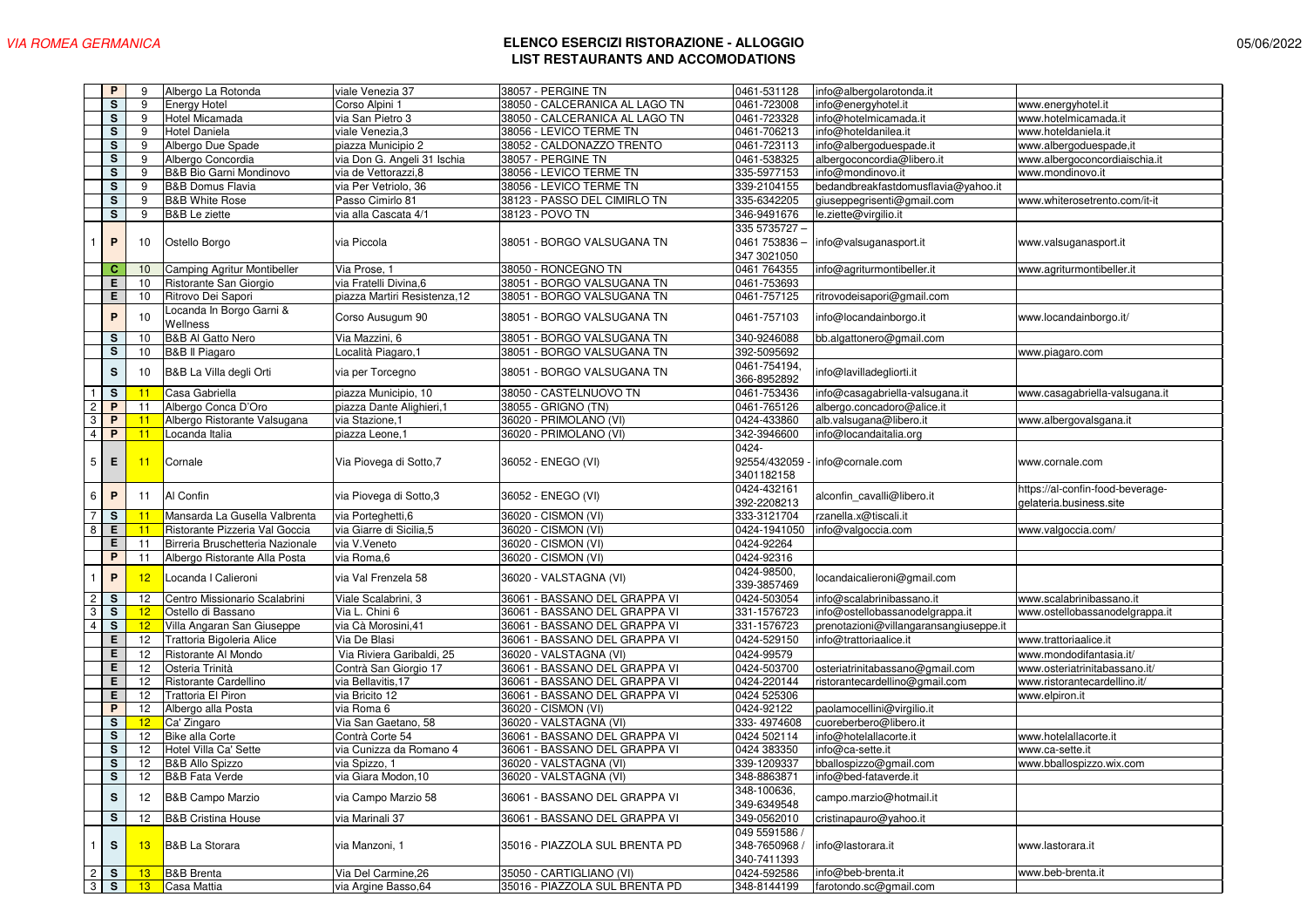|                | P                              | 9                     | Albergo La Rotonda                   | viale Venezia 37                            | 38057 - PERGINE TN                                              | 0461-531128                                 | info@albergolarotonda.it                    |                                                             |
|----------------|--------------------------------|-----------------------|--------------------------------------|---------------------------------------------|-----------------------------------------------------------------|---------------------------------------------|---------------------------------------------|-------------------------------------------------------------|
|                | s                              | 9                     | Energy Hotel                         | Corso Alpini 1                              | 38050 - CALCERANICA AL LAGO TN                                  | 0461-723008                                 | info@energyhotel.it                         | www.energyhotel.it                                          |
|                | s                              | 9                     | Hotel Micamada                       | via San Pietro 3                            | 38050 - CALCERANICA AL LAGO TN                                  | 0461-723328                                 | info@hotelmicamada.it                       | www.hotelmicamada.it                                        |
|                | s                              | 9                     | Hotel Daniela                        | viale Venezia,3                             | 38056 - LEVICO TERME TN                                         | 0461-706213                                 | info@hoteldanilea.it                        | www.hoteldaniela.it                                         |
|                | s                              | 9                     | Albergo Due Spade                    | piazza Municipio 2                          | 38052 - CALDONAZZO TRENTO                                       | 0461-723113                                 | info@albergoduespade.it                     | www.albergoduespade,it                                      |
|                | s                              | 9                     | Albergo Concordia                    | via Don G. Angeli 31 Ischia                 | 38057 - PERGINE TN                                              | 0461-538325                                 | albergoconcordia@libero.it                  | www.albergoconcordiaischia.it                               |
|                | s                              | 9                     | B&B Bio Garni Mondinovo              | via de Vettorazzi,8                         | 38056 - LEVICO TERME TN                                         | 335-5977153                                 | info@mondinovo.it                           | www.mondinovo.it                                            |
|                | s                              | 9                     | <b>B&amp;B Domus Flavia</b>          | via Per Vetriolo, 36                        | 38056 - LEVICO TERME TN                                         | 339-2104155                                 | bedandbreakfastdomusflavia@yahoo.it         |                                                             |
|                | s                              | 9                     | <b>B&amp;B White Rose</b>            | Passo Cimirlo 81                            | 38123 - PASSO DEL CIMIRLO TN                                    | 335-6342205                                 | giuseppegrisenti@gmail.com                  | www.whiterosetrento.com/it-it                               |
|                | s                              | 9                     | <b>B&amp;B</b> Le ziette             | via alla Cascata 4/1                        | 38123 - POVO TN                                                 | 346-9491676                                 | le.ziette@virgilio.it                       |                                                             |
|                |                                |                       |                                      |                                             |                                                                 | 335 5735727 -                               |                                             |                                                             |
|                | P                              | 10                    | Ostello Borgo                        | via Piccola                                 | 38051 - BORGO VALSUGANA TN                                      | 0461 753836<br>347 3021050                  | info@valsuganasport.it                      | www.valsuganasport.it                                       |
|                | c.                             | 10                    | Camping Agritur Montibeller          | Via Prose, 1                                | 38050 - RONCEGNO TN                                             | 0461 764355                                 | info@agriturmontibeller.it                  | www.agriturmontibeller.it                                   |
|                | E                              | 10                    | Ristorante San Giorgio               | via Fratelli Divina, 6                      | 38051 - BORGO VALSUGANA TN                                      | 0461-753693                                 |                                             |                                                             |
|                | E                              | 10                    | Ritrovo Dei Sapori                   | piazza Martiri Resistenza,12                | 38051 - BORGO VALSUGANA TN                                      | 0461-757125                                 | ritrovodeisapori@gmail.com                  |                                                             |
|                | P                              | 10                    | Locanda In Borgo Garni &<br>Wellness | Corso Ausugum 90                            | 38051 - BORGO VALSUGANA TN                                      | 0461-757103                                 | info@locandainborgo.it                      | www.locandainborgo.it/                                      |
|                | s                              | 10                    | <b>B&amp;B Al Gatto Nero</b>         | Via Mazzini, 6                              | 38051 - BORGO VALSUGANA TN                                      | 340-9246088                                 | bb.algattonero@gmail.com                    |                                                             |
|                | S                              | 10                    | <b>B&amp;B II Piagaro</b>            | Località Piagaro, 1                         | 38051 - BORGO VALSUGANA TN                                      | 392-5095692                                 |                                             | www.piagaro.com                                             |
|                | s                              | 10                    | B&B La Villa degli Orti              | via per Torcegno                            | 38051 - BORGO VALSUGANA TN                                      | 0461-754194,<br>366-8952892                 | info@lavilladegliorti.it                    |                                                             |
| $\overline{1}$ | <b>S</b>                       | 11                    | Casa Gabriella                       | piazza Municipio, 10                        | 38050 - CASTELNUOVO TN                                          | 0461-753436                                 | info@casagabriella-valsugana.it             | www.casagabriella-valsugana.it                              |
| $\overline{c}$ | P                              | 11                    | Albergo Conca D'Oro                  | piazza Dante Alighieri,1                    | 38055 - GRIGNO (TN)                                             | 0461-765126                                 | albergo.concadoro@alice.it                  |                                                             |
| 3              | P                              | 11                    | Albergo Ristorante Valsugana         | via Stazione, 1                             | 36020 - PRIMOLANO (VI)                                          | 0424-433860                                 | alb.valsugana@libero.it                     | www.albergovalsgana.it                                      |
| $\overline{4}$ | P                              | 11                    | Locanda Italia                       | piazza Leone,1                              | 36020 - PRIMOLANO (VI)                                          | 342-3946600                                 | info@locandaitalia.org                      |                                                             |
| 5 <sup>1</sup> | E                              | 11                    | Cornale                              | Via Piovega di Sotto,7                      | 36052 - ENEGO (VI)                                              | 0424-<br>3401182158                         | 92554/432059 - info@cornale.com             | www.cornale.com                                             |
| 6              | $\mathsf{P}$                   | 11                    | Al Confin                            | via Piovega di Sotto,3                      | 36052 - ENEGO (VI)                                              | 0424-432161<br>392-2208213                  | alconfin_cavalli@libero.it                  | https://al-confin-food-beverage-<br>gelateria.business.site |
| $\overline{7}$ | S                              | 11                    | Mansarda La Gusella Valbrenta        | via Porteghetti,6                           | 36020 - CISMON (VI)                                             | 333-3121704                                 | rzanella.x@tiscali.it                       |                                                             |
| 8              | E                              | 11                    | Ristorante Pizzeria Val Goccia       | via Giarre di Sicilia,5                     | 36020 - CISMON (VI)                                             | 0424-1941050                                | info@valgoccia.com                          | www.valgoccia.com/                                          |
|                | Е                              | 11                    | Birreria Bruschetteria Nazionale     | via V.Veneto                                | 36020 - CISMON (VI)                                             | 0424-92264                                  |                                             |                                                             |
|                | P                              | 11                    | Albergo Ristorante Alla Posta        | via Roma,6                                  | 36020 - CISMON (VI)                                             | 0424-92316                                  |                                             |                                                             |
| 1              | P                              | 12                    | Locanda I Calieroni                  | via Val Frenzela 58                         | 36020 - VALSTAGNA (VI)                                          | 0424-98500,<br>339-3857469                  | locandaicalieroni@gmail.com                 |                                                             |
| $\overline{c}$ | S                              | 12                    | Centro Missionario Scalabrini        | Viale Scalabrini, 3                         | 36061 - BASSANO DEL GRAPPA VI                                   | 0424-503054                                 | info@scalabrinibassano.it                   | www.scalabrinibassano.it                                    |
| 3              | S.                             | 12                    | Ostello di Bassano                   | Via L. Chini 6                              | 36061 - BASSANO DEL GRAPPA VI                                   | 331-1576723                                 | info@ostellobassanodelgrappa.it             | www.ostellobassanodelgrappa.it                              |
| $\overline{4}$ | S                              | 12                    | Villa Angaran San Giuseppe           | via Cà Morosini, 41                         | 36061 - BASSANO DEL GRAPPA VI                                   | 331-1576723                                 | prenotazioni@villangaransangiuseppe.it      |                                                             |
|                | E                              | 12                    | Trattoria Bigoleria Alice            | Via De Blasi                                | 36061 - BASSANO DEL GRAPPA VI                                   | 0424-529150                                 | info@trattoriaalice.it                      | www.trattoriaalice.it                                       |
|                | E                              | 12                    | Ristorante Al Mondo                  | Via Riviera Garibaldi, 25                   | 36020 - VALSTAGNA (VI)                                          | 0424-99579                                  |                                             | www.mondodifantasia.it/                                     |
|                | E                              | 12                    | Osteria Trinità                      | Contrà San Giorgio 17                       | 36061 - BASSANO DEL GRAPPA VI                                   | 0424-503700                                 | osteriatrinitabassano@gmail.com             | www.osteriatrinitabassano.it/                               |
|                | E                              | 12                    | Ristorante Cardellino                | via Bellavitis, 17                          | 36061 - BASSANO DEL GRAPPA VI                                   | 0424-220144                                 | ristorantecardellino@gmail.com              | www.ristorantecardellino.it/                                |
|                | E                              | 12                    | Trattoria El Piron                   | via Bricito 12                              | 36061 - BASSANO DEL GRAPPA VI                                   | 0424 525306                                 |                                             | www.elpiron.it                                              |
|                | P                              | 12                    | Albergo alla Posta                   |                                             |                                                                 |                                             |                                             |                                                             |
|                |                                |                       |                                      | via Roma 6                                  | 36020 - CISMON (VI)                                             | 0424-92122                                  | paolamocellini@virgilio.it                  |                                                             |
|                | s                              | 12                    | Ca' Zingaro                          | Via San Gaetano, 58                         | 36020 - VALSTAGNA (VI)                                          | 333-4974608                                 | cuoreberbero@libero.it                      |                                                             |
|                | s                              | 12                    | <b>Bike alla Corte</b>               | Contrà Corte 54                             | 36061 - BASSANO DEL GRAPPA VI                                   | 0424 502114                                 | info@hotelallacorte.it                      | www.hotelallacorte.it                                       |
|                | s                              | 12                    | Hotel Villa Ca' Sette                | via Cunizza da Romano 4                     | 36061 - BASSANO DEL GRAPPA VI                                   | 0424 383350                                 | info@ca-sette.it                            | www.ca-sette.it                                             |
|                | s                              | 12                    | <b>B&amp;B Allo Spizzo</b>           | via Spizzo, 1                               | 36020 - VALSTAGNA (VI)                                          | 339-1209337                                 | bballospizzo@gmail.com                      | www.bballospizzo.wix.com                                    |
|                | s                              |                       | 12 B&B Fata Verde                    | via Giara Modon, 10                         | 36020 - VALSTAGNA (VI)                                          | 348-8863871                                 | info@bed-fataverde.it                       |                                                             |
|                | s                              | 12                    | <b>B&amp;B Campo Marzio</b>          | via Campo Marzio 58                         | 36061 - BASSANO DEL GRAPPA VI                                   | 348-100636,<br>349-6349548                  | campo.marzio@hotmail.it                     |                                                             |
|                |                                |                       | <b>B&amp;B Cristina House</b>        |                                             |                                                                 |                                             |                                             |                                                             |
| $\mathbf{1}$   | <b>S</b><br><b>S</b>           | 12<br>13              | <b>B&amp;B</b> La Storara            | via Marinali 37<br>via Manzoni. 1           | 36061 - BASSANO DEL GRAPPA VI<br>35016 - PIAZZOLA SUL BRENTA PD | 349-0562010<br>049 5591586 /<br>348-7650968 | cristinapauro@yahoo.it<br>info@lastorara.it | www.lastorara.it                                            |
|                |                                |                       |                                      |                                             |                                                                 | 340-7411393                                 |                                             |                                                             |
|                | $\overline{2}$ S<br>$3 \mid S$ | 13<br>13 <sup>°</sup> | <b>B&amp;B</b> Brenta<br>Casa Mattia | Via Del Carmine, 26<br>via Argine Basso, 64 | 35050 - CARTIGLIANO (VI)<br>35016 - PIAZZOLA SUL BRENTA PD      | 0424-592586<br>348-8144199                  | nfo@beb-brenta.it<br>farotondo.sc@gmail.com | www.beb-brenta.it                                           |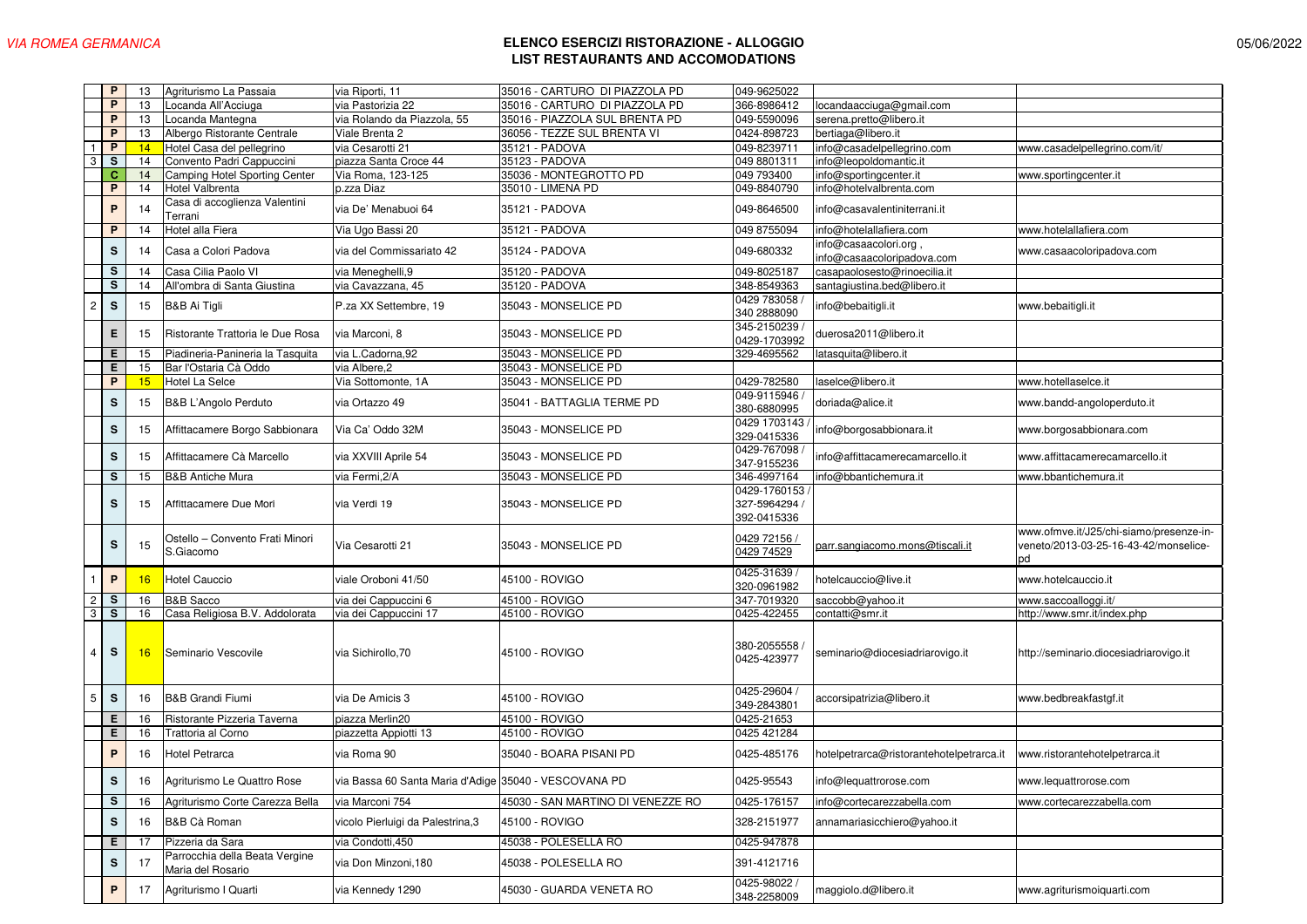|                | P            | 13 | Agriturismo La Passaia                              | via Riporti, 11                                       | 35016 - CARTURO DI PIAZZOLA PD    | 049-9625022                                  |                                                     |                                                                                        |
|----------------|--------------|----|-----------------------------------------------------|-------------------------------------------------------|-----------------------------------|----------------------------------------------|-----------------------------------------------------|----------------------------------------------------------------------------------------|
|                | P            | 13 | Locanda All'Acciuga                                 | via Pastorizia 22                                     | 35016 - CARTURO DI PIAZZOLA PD    | 366-8986412                                  | locandaacciuga@gmail.com                            |                                                                                        |
|                | P            | 13 | Locanda Mantegna                                    | via Rolando da Piazzola, 55                           | 35016 - PIAZZOLA SUL BRENTA PD    | 049-5590096                                  | serena.pretto@libero.it                             |                                                                                        |
|                | P            | 13 | Albergo Ristorante Centrale                         | Viale Brenta 2                                        | 36056 - TEZZE SUL BRENTA VI       | 0424-898723                                  | bertiaga@libero.it                                  |                                                                                        |
|                | P            | 14 | Hotel Casa del pellegrino                           | via Cesarotti 21                                      | 35121 - PADOVA                    | 049-8239711                                  | info@casadelpellegrino.com                          | www.casadelpellegrino.com/it/                                                          |
| 3              | S            | 14 | Convento Padri Cappuccini                           | piazza Santa Croce 44                                 | 35123 - PADOVA                    | 049 8801311                                  | info@leopoldomantic.it                              |                                                                                        |
|                | $\mathbf{C}$ | 14 | Camping Hotel Sporting Center                       | Via Roma, 123-125                                     | 35036 - MONTEGROTTO PD            | 049 793400                                   | info@sportingcenter.it                              | www.sportingcenter.it                                                                  |
|                | P            | 14 | Hotel Valbrenta                                     | p.zza Diaz                                            | 35010 - LIMENA PD                 | 049-8840790                                  | info@hotelvalbrenta.com                             |                                                                                        |
|                | P            | 14 | Casa di accoglienza Valentini<br>Terrani            | via De' Menabuoi 64                                   | 35121 - PADOVA                    | 049-8646500                                  | info@casavalentiniterrani.it                        |                                                                                        |
|                | P            | 14 | Hotel alla Fiera                                    | Via Ugo Bassi 20                                      | 35121 - PADOVA                    | 049 8755094                                  | info@hotelallafiera.com                             | www.hotelallafiera.com                                                                 |
|                | $\mathbf s$  | 14 | Casa a Colori Padova                                | via del Commissariato 42                              | 35124 - PADOVA                    | 049-680332                                   | info@casaacolori.org,<br>info@casaacoloripadova.com | www.casaacoloripadova.com                                                              |
|                | s            | 14 | Casa Cilia Paolo VI                                 | via Meneghelli, 9                                     | 35120 - PADOVA                    | 049-8025187                                  | casapaolosesto@rinoecilia.it                        |                                                                                        |
|                | $\mathbf S$  | 14 | All'ombra di Santa Giustina                         | via Cavazzana, 45                                     | 35120 - PADOVA                    | 348-8549363                                  | santagiustina.bed@libero.it                         |                                                                                        |
|                |              |    |                                                     |                                                       |                                   |                                              |                                                     |                                                                                        |
| $\overline{c}$ | $\mathbf s$  | 15 | <b>B&amp;B Ai Tigli</b>                             | P.za XX Settembre, 19                                 | 35043 - MONSELICE PD              | 0429 783058<br>340 2888090                   | info@bebaitigli.it                                  | www.bebaitigli.it                                                                      |
|                | Е            | 15 | Ristorante Trattoria le Due Rosa                    | via Marconi, 8                                        | 35043 - MONSELICE PD              | 345-2150239<br>0429-1703992                  | duerosa2011@libero.it                               |                                                                                        |
|                | Е            | 15 | Piadineria-Panineria la Tasquita                    | via L.Cadorna,92                                      | 35043 - MONSELICE PD              | 329-4695562                                  | latasquita@libero.it                                |                                                                                        |
|                | Е            | 15 | Bar l'Ostaria Cà Oddo                               | via Albere, 2                                         | 35043 - MONSELICE PD              |                                              |                                                     |                                                                                        |
|                | P            | 15 | <b>Hotel La Selce</b>                               | Via Sottomonte, 1A                                    | 35043 - MONSELICE PD              | 0429-782580                                  | laselce@libero.it                                   | www.hotellaselce.it                                                                    |
|                | $\mathbf s$  | 15 | B&B L'Angolo Perduto                                | via Ortazzo 49                                        | 35041 - BATTAGLIA TERME PD        | 049-9115946<br>380-6880995                   | doriada@alice.it                                    | www.bandd-angoloperduto.it                                                             |
|                | $\mathbf S$  | 15 | Affittacamere Borgo Sabbionara                      | Via Ca' Oddo 32M                                      | 35043 - MONSELICE PD              | 0429 1703143<br>329-0415336                  | info@borgosabbionara.it                             | www.borgosabbionara.com                                                                |
|                | $\mathbf S$  | 15 | Affittacamere Cà Marcello                           | via XXVIII Aprile 54                                  | 35043 - MONSELICE PD              | 0429-767098<br>347-9155236                   | info@affittacamerecamarcello.it                     | www.affittacamerecamarcello.it                                                         |
|                | S            | 15 | <b>B&amp;B Antiche Mura</b>                         | via Fermi.2/A                                         | 35043 - MONSELICE PD              | 346-4997164                                  | info@bbantichemura.it                               | www.bbantichemura.it                                                                   |
|                | s            | 15 | Affittacamere Due Mori                              | via Verdi 19                                          | 35043 - MONSELICE PD              | 0429-1760153<br>327-5964294 /<br>392-0415336 |                                                     |                                                                                        |
|                | S            | 15 | Ostello - Convento Frati Minori<br>S.Giacomo        | Via Cesarotti 21                                      | 35043 - MONSELICE PD              | 0429 72156 /<br>0429 74529                   | parr.sangiacomo.mons@tiscali.it                     | www.ofmve.it/J25/chi-siamo/presenze-in-<br>veneto/2013-03-25-16-43-42/monselice-<br>bd |
|                | $\mathsf{P}$ | 16 | <b>Hotel Cauccio</b>                                | viale Oroboni 41/50                                   | 45100 - ROVIGO                    | 0425-31639 /<br>320-0961982                  | hotelcauccio@live.it                                | www.hotelcauccio.it                                                                    |
| $\overline{c}$ | S            | 16 | <b>B&amp;B Sacco</b>                                | via dei Cappuccini 6                                  | 45100 - ROVIGO                    | 347-7019320                                  | saccobb@yahoo.it                                    | www.saccoalloggi.it/                                                                   |
| 3              | s            | 16 | Casa Religiosa B.V. Addolorata                      | via dei Cappuccini 17                                 | 45100 - ROVIGO                    | 0425-422455                                  | contatti@smr.it                                     | http://www.smr.it/index.php                                                            |
| 4              | $\mathsf{s}$ | 16 | Seminario Vescovile                                 | via Sichirollo, 70                                    | 45100 - ROVIGO                    | 380-2055558<br>0425-423977                   | seminario@diocesiadriarovigo.it                     | http://seminario.diocesiadriarovigo.it                                                 |
| 5              | $\mathsf{s}$ | 16 | <b>B&amp;B Grandi Fiumi</b>                         | via De Amicis 3                                       | 45100 - ROVIGO                    | 0425-29604<br>349-2843801                    | accorsipatrizia@libero.it                           | www.bedbreakfastgf.it                                                                  |
|                | Е            | 16 | Ristorante Pizzeria Taverna                         | piazza Merlin20                                       | 45100 - ROVIGO                    | 0425-21653                                   |                                                     |                                                                                        |
|                | Е            | 16 | Trattoria al Corno                                  | piazzetta Appiotti 13                                 | 45100 - ROVIGO                    | 0425 421284                                  |                                                     |                                                                                        |
|                | $\mathsf{P}$ | 16 | <b>Hotel Petrarca</b>                               | via Roma 90                                           | 35040 - BOARA PISANI PD           | 0425-485176                                  | hotelpetrarca@ristorantehotelpetrarca.it            | www.ristorantehotelpetrarca.it                                                         |
|                | s            | 16 | Agriturismo Le Quattro Rose                         | via Bassa 60 Santa Maria d'Adige 35040 - VESCOVANA PD |                                   | 0425-95543                                   | info@lequattrorose.com                              | www.lequattrorose.com                                                                  |
|                | s            | 16 | Agriturismo Corte Carezza Bella                     | via Marconi 754                                       | 45030 - SAN MARTINO DI VENEZZE RO | 0425-176157                                  | info@cortecarezzabella.com                          | www.cortecarezzabella.com                                                              |
|                | S            | 16 | B&B Cà Roman                                        | vicolo Pierluigi da Palestrina,3                      | 45100 - ROVIGO                    | 328-2151977                                  | annamariasicchiero@yahoo.it                         |                                                                                        |
|                | Е            | 17 | Pizzeria da Sara                                    | via Condotti, 450                                     | 45038 - POLESELLA RO              | 0425-947878                                  |                                                     |                                                                                        |
|                | S            | 17 | Parrocchia della Beata Vergine<br>Maria del Rosario | via Don Minzoni, 180                                  | 45038 - POLESELLA RO              | 391-4121716                                  |                                                     |                                                                                        |
|                | $\mathsf P$  | 17 | Agriturismo I Quarti                                | via Kennedy 1290                                      | 45030 - GUARDA VENETA RO          | 0425-98022<br>348-2258009                    | maggiolo.d@libero.it                                | www.agriturismoiquarti.com                                                             |
|                |              |    |                                                     |                                                       |                                   |                                              |                                                     |                                                                                        |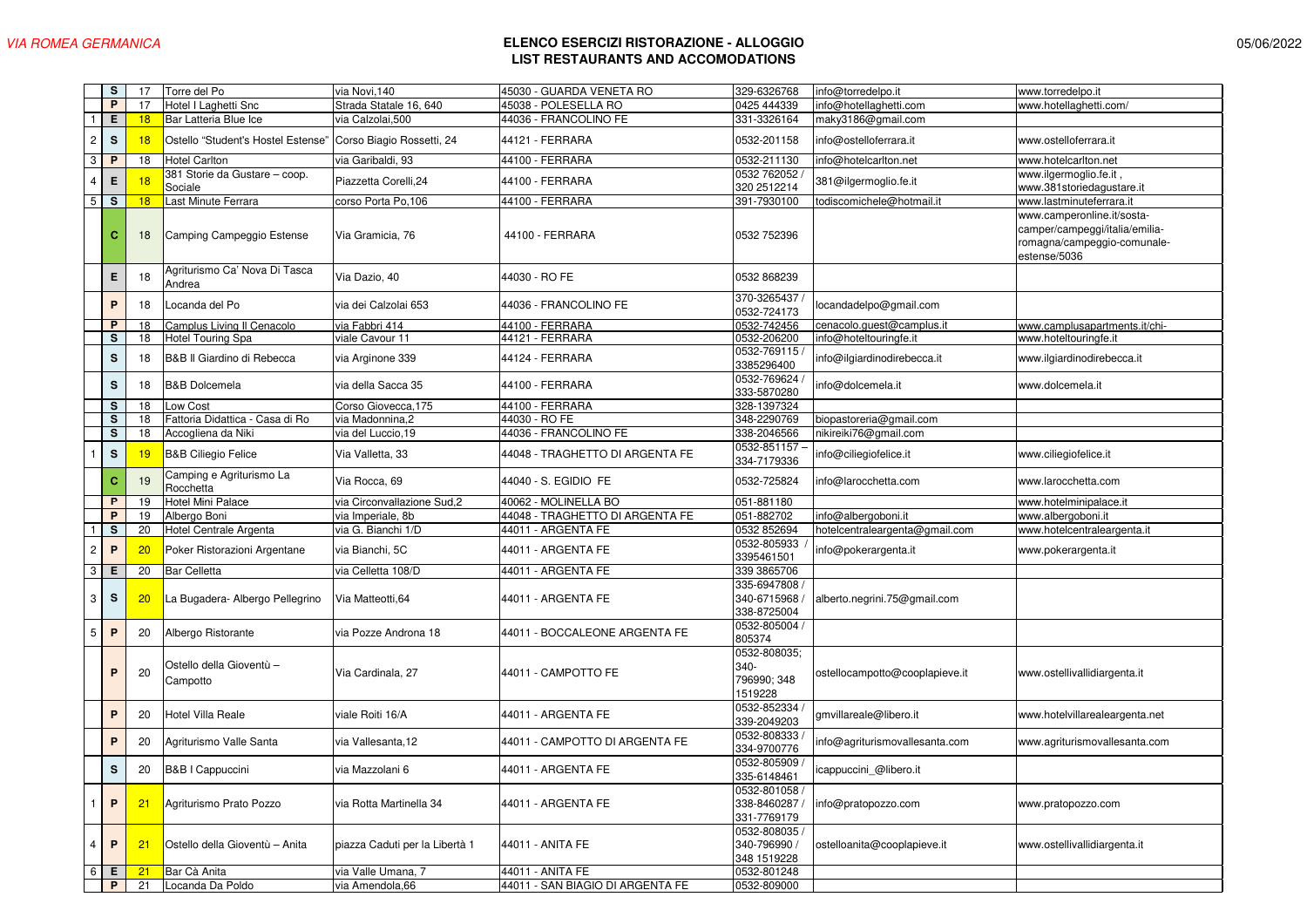|                | s            | 17              | Torre del Po                             | via Novi, 140                          | 45030 - GUARDA VENETA RO                             | 329-6326768                                    | info@torredelpo.it             | www.torredelpo.it                                                                                           |
|----------------|--------------|-----------------|------------------------------------------|----------------------------------------|------------------------------------------------------|------------------------------------------------|--------------------------------|-------------------------------------------------------------------------------------------------------------|
|                | $\mathsf{P}$ | 17              | Hotel I Laghetti Snc                     | Strada Statale 16, 640                 | 45038 - POLESELLA RO                                 | 0425 444339                                    | info@hotellaghetti.com         | www.hotellaghetti.com/                                                                                      |
|                | Е            | 18              | Bar Latteria Blue Ice                    | via Calzolai,500                       | 44036 - FRANCOLINO FE                                | 331-3326164                                    | maky3186@gmail.com             |                                                                                                             |
| $\overline{c}$ | $\mathbf s$  | 18              | Ostello "Student's Hostel Estense        | Corso Biagio Rossetti, 24              | 44121 - FERRARA                                      | 0532-201158                                    | info@ostelloferrara.it         | www.ostelloferrara.it                                                                                       |
| 3              | P            | 18              | <b>Hotel Carlton</b>                     | via Garibaldi, 93                      | 44100 - FERRARA                                      | 0532-211130                                    | info@hotelcarlton.net          | www.hotelcarlton.net                                                                                        |
| $\overline{4}$ | E            | 18              | 381 Storie da Gustare - coop.<br>Sociale | Piazzetta Corelli, 24                  | 44100 - FERRARA                                      | 0532 762052<br>320 2512214                     | 381@ilgermoglio.fe.it          | www.ilgermoglio.fe.it,<br>www.381storiedagustare.it                                                         |
| 5              | s            | 18              | Last Minute Ferrara                      | corso Porta Po,106                     | 44100 - FERRARA                                      | 391-7930100                                    | todiscomichele@hotmail.it      | www.lastminuteferrara.it                                                                                    |
|                | c            | 18              | Camping Campeggio Estense                | Via Gramicia, 76                       | 44100 - FERRARA                                      | 0532 752396                                    |                                | www.camperonline.it/sosta-<br>camper/campeggi/italia/emilia-<br>romagna/campeggio-comunale-<br>estense/5036 |
|                | Е            | 18              | Agriturismo Ca' Nova Di Tasca<br>Andrea  | Via Dazio, 40                          | 44030 - RO FE                                        | 0532 868239                                    |                                |                                                                                                             |
|                | P            | 18              | Locanda del Po                           | via dei Calzolai 653                   | 44036 - FRANCOLINO FE                                | 370-3265437<br>0532-724173                     | locandadelpo@gmail.com         |                                                                                                             |
|                | P            | 18              | Camplus Living II Cenacolo               | via Fabbri 414                         | 44100 - FERRARA                                      | 0532-742456                                    | cenacolo.guest@camplus.it      | www.camplusapartments.it/chi-                                                                               |
|                | s            | 18              | <b>Hotel Touring Spa</b>                 | viale Cavour 11                        | 44121 - FERRARA                                      | 0532-206200                                    | info@hoteltouringfe.it         | www.hoteltouringfe.it                                                                                       |
|                | s            | 18              | B&B Il Giardino di Rebecca               | via Arginone 339                       | 44124 - FERRARA                                      | 0532-769115<br>3385296400                      | info@ilgiardinodirebecca.it    | www.ilgiardinodirebecca.it                                                                                  |
|                | ${\bf s}$    | 18              | <b>B&amp;B Dolcemela</b>                 | via della Sacca 35                     | 44100 - FERRARA                                      | 0532-769624<br>333-5870280                     | info@dolcemela.it              | www.dolcemela.it                                                                                            |
|                | s            | 18              | Low Cost                                 | Corso Giovecca, 175                    | 44100 - FERRARA                                      | 328-1397324                                    |                                |                                                                                                             |
|                | s            | 18              | Fattoria Didattica - Casa di Ro          | via Madonnina,2                        | 44030 - RO FE                                        | 348-2290769                                    | biopastoreria@gmail.com        |                                                                                                             |
|                | s            | 18              | Accogliena da Niki                       | via del Luccio, 19                     | 44036 - FRANCOLINO FE                                | 338-2046566                                    | nikireiki76@gmail.com          |                                                                                                             |
|                | $\mathbf S$  | 19              | <b>B&amp;B Ciliegio Felice</b>           | Via Valletta, 33                       | 44048 - TRAGHETTO DI ARGENTA FE                      | 0532-851157<br>334-7179336                     | info@ciliegiofelice.it         | www.ciliegiofelice.it                                                                                       |
|                | c            | 19              | Camping e Agriturismo La<br>Rocchetta    | Via Rocca, 69                          | 44040 - S. EGIDIO FE                                 | 0532-725824                                    | info@larocchetta.com           | www.larocchetta.com                                                                                         |
|                |              |                 |                                          |                                        |                                                      |                                                |                                |                                                                                                             |
|                | P            | 19              | Hotel Mini Palace                        | via Circonvallazione Sud,2             | 40062 - MOLINELLA BO                                 | 051-881180                                     |                                | www.hotelminipalace.it                                                                                      |
|                | P            | 19              | Albergo Boni                             | via Imperiale, 8b                      | 44048 - TRAGHETTO DI ARGENTA FE                      | 051-882702                                     | info@albergoboni.it            | www.albergoboni.it                                                                                          |
|                | s            | 20              | Hotel Centrale Argenta                   | via G. Bianchi 1/D                     | 44011 - ARGENTA FE                                   | 0532 852694                                    | hotelcentraleargenta@gmail.com | www.hotelcentraleargenta.it                                                                                 |
| $\overline{c}$ | P            | 20              | Poker Ristorazioni Argentane             | via Bianchi, 5C                        | 44011 - ARGENTA FE                                   | 0532-805933<br>3395461501                      | info@pokerargenta.it           | www.pokerargenta.it                                                                                         |
| 3              | Е            | $\overline{20}$ | <b>Bar Celletta</b>                      | via Celletta 108/D                     | 44011 - ARGENTA FE                                   | 339 3865706                                    |                                |                                                                                                             |
| 3              | S            | 20              | La Bugadera- Albergo Pellegrino          | Via Matteotti, 64                      | 44011 - ARGENTA FE                                   | 335-6947808<br>340-6715968<br>338-8725004      | alberto.negrini.75@gmail.com   |                                                                                                             |
| 5              | P            | 20              | Albergo Ristorante                       | via Pozze Androna 18                   | 44011 - BOCCALEONE ARGENTA FE                        | 0532-805004<br>805374                          |                                |                                                                                                             |
|                | P            | 20              | Ostello della Gioventù –<br>Campotto     | Via Cardinala, 27                      | 44011 - CAMPOTTO FE                                  | 0532-808035;<br>340-<br>796990; 348<br>1519228 | ostellocampotto@cooplapieve.it | www.ostellivallidiargenta.it                                                                                |
|                | $\mathsf{P}$ | 20              | Hotel Villa Reale                        | viale Roiti 16/A                       | 44011 - ARGENTA FE                                   | 0532-852334<br>339-2049203                     | gmvillareale@libero.it         | www.hotelvillarealeargenta.net                                                                              |
|                | P            | 20              | Agriturismo Valle Santa                  | via Vallesanta,12                      | 44011 - CAMPOTTO DI ARGENTA FE                       | 0532-808333<br>334-9700776                     | info@agriturismovallesanta.com | www.agriturismovallesanta.com                                                                               |
|                | s            | 20              | B&B I Cappuccini                         | via Mazzolani 6                        | 44011 - ARGENTA FE                                   | 0532-805909<br>335-6148461                     | icappuccini @libero.it         |                                                                                                             |
| 1              | P            | 21              | Agriturismo Prato Pozzo                  | via Rotta Martinella 34                | 44011 - ARGENTA FE                                   | 0532-801058 /<br>338-8460287<br>331-7769179    | info@pratopozzo.com            | www.pratopozzo.com                                                                                          |
| 4              | P            | 21              | Ostello della Gioventù - Anita           | piazza Caduti per la Libertà 1         | 44011 - ANITA FE                                     | 0532-808035<br>340-796990 /<br>348 1519228     | ostelloanita@cooplapieve.it    | www.ostellivallidiargenta.it                                                                                |
| 6              | Е<br>P       | 21<br>21        | Bar Cà Anita<br>Locanda Da Poldo         | via Valle Umana, 7<br>via Amendola, 66 | 44011 - ANITA FE<br>44011 - SAN BIAGIO DI ARGENTA FE | 0532-801248<br>0532-809000                     |                                |                                                                                                             |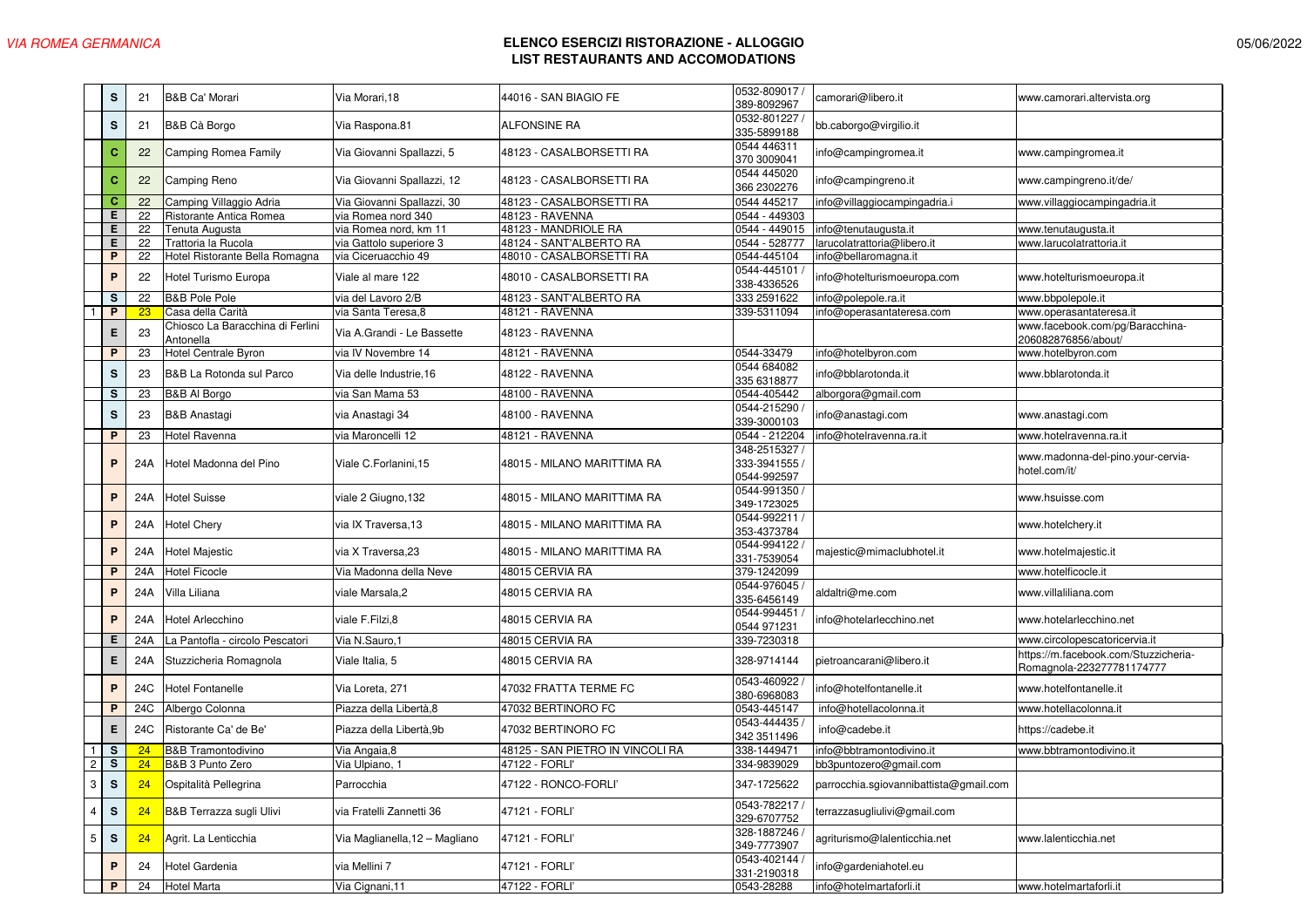|                | s                                         | 21  | <b>B&amp;B Ca' Morari</b>                     | Via Morari,18                  | 44016 - SAN BIAGIO FE            | 0532-809017 /<br>389-8092967                  | camorari@libero.it                     | www.camorari.altervista.org                                       |
|----------------|-------------------------------------------|-----|-----------------------------------------------|--------------------------------|----------------------------------|-----------------------------------------------|----------------------------------------|-------------------------------------------------------------------|
|                | $\mathbf S$                               | 21  | B&B Cà Borgo                                  | Via Raspona.81                 | ALFONSINE RA                     | 0532-801227<br>335-5899188                    | bb.caborgo@virgilio.it                 |                                                                   |
|                | $\mathbf C$                               | 22  | Camping Romea Family                          | Via Giovanni Spallazzi, 5      | 48123 - CASALBORSETTI RA         | 0544 446311<br>370 3009041                    | info@campingromea.it                   | www.campingromea.it                                               |
|                | $\mathbf{C}$                              | 22  | Camping Reno                                  | Via Giovanni Spallazzi, 12     | 48123 - CASALBORSETTI RA         | 0544 445020<br>366 2302276                    | info@campingreno.it                    | www.campingreno.it/de/                                            |
|                | c                                         | 22  | Camping Villaggio Adria                       | Via Giovanni Spallazzi, 30     | 48123 - CASALBORSETTI RA         | 0544 445217                                   | info@villaggiocampingadria.i           | www.villaggiocampingadria.it                                      |
|                | Е                                         | 22  | Ristorante Antica Romea                       | via Romea nord 340             | 48123 - RAVENNA                  | 0544 - 449303                                 |                                        |                                                                   |
|                | Е                                         | 22  | Tenuta Augusta                                | via Romea nord, km 11          | 48123 - MANDRIOLE RA             | 0544 - 449015                                 | info@tenutaugusta.it                   | www.tenutaugusta.it                                               |
|                | Е                                         | 22  | Trattoria la Rucola                           | via Gattolo superiore 3        | 48124 - SANT'ALBERTO RA          | 0544 - 528777                                 | arucolatrattoria@libero.it             | www.larucolatrattoria.it                                          |
|                | P                                         | 22  | Hotel Ristorante Bella Romagna                | via Ciceruacchio 49            | 48010 - CASALBORSETTI RA         | 0544-445104                                   | info@bellaromagna.it                   |                                                                   |
|                | P                                         | 22  | Hotel Turismo Europa                          | Viale al mare 122              | 48010 - CASALBORSETTI RA         | 0544-445101<br>338-4336526                    | nfo@hotelturismoeuropa.com             | www.hotelturismoeuropa.it                                         |
|                | $\mathbf s$                               | 22  | <b>B&amp;B Pole Pole</b>                      | via del Lavoro 2/B             | 48123 - SANT'ALBERTO RA          | 333 2591622                                   | nfo@polepole.ra.it                     | www.bbpolepole.it                                                 |
|                | P                                         | 23  | Casa della Carità                             | via Santa Teresa, 8            | 48121 - RAVENNA                  | 339-5311094                                   | nfo@operasantateresa.com               | www.operasantateresa.it                                           |
|                | Е                                         | 23  | Chiosco La Baracchina di Ferlini<br>Antonella | Via A.Grandi - Le Bassette     | 48123 - RAVENNA                  |                                               |                                        | www.facebook.com/pg/Baracchina-<br>206082876856/about/            |
|                | P                                         | 23  | Hotel Centrale Byron                          | via IV Novembre 14             | 48121 - RAVENNA                  | 0544-33479                                    | nfo@hotelbyron.com                     | www.hotelbyron.com                                                |
|                | $\mathbf s$                               | 23  | B&B La Rotonda sul Parco                      | Via delle Industrie, 16        | 48122 - RAVENNA                  | 0544 684082<br>335 6318877                    | info@bblarotonda.it                    | www.bblarotonda.it                                                |
|                | s                                         | 23  | B&B Al Borgo                                  | via San Mama 53                | 48100 - RAVENNA                  | 0544-405442                                   | alborgora@gmail.com                    |                                                                   |
|                | $\mathbf s$                               | 23  | <b>B&amp;B Anastagi</b>                       | via Anastagi 34                | 48100 - RAVENNA                  | 0544-215290<br>339-3000103                    | info@anastagi.com                      | www.anastagi.com                                                  |
|                | P                                         | 23  | Hotel Ravenna                                 | via Maroncelli 12              | 48121 - RAVENNA                  | 0544 - 212204                                 | info@hotelravenna.ra.it                | www.hotelravenna.ra.it                                            |
|                | P                                         | 24A | Hotel Madonna del Pino                        | Viale C.Forlanini,15           | 48015 - MILANO MARITTIMA RA      | 348-2515327 /<br>333-3941555 /<br>0544-992597 |                                        | www.madonna-del-pino.your-cervia-<br>hotel.com/it/                |
|                | P                                         | 24A | <b>Hotel Suisse</b>                           | viale 2 Giugno, 132            | 48015 - MILANO MARITTIMA RA      | 0544-991350 /<br>349-1723025                  |                                        | www.hsuisse.com                                                   |
|                | $\mathsf P$                               | 24A | <b>Hotel Chery</b>                            | via IX Traversa.13             | 48015 - MILANO MARITTIMA RA      | 0544-992211 /<br>353-4373784                  |                                        | www.hotelchery.it                                                 |
|                | P                                         | 24A | Hotel Majestic                                | via X Traversa.23              | 48015 - MILANO MARITTIMA RA      | 0544-994122<br>331-7539054                    | majestic@mimaclubhotel.it              | www.hotelmajestic.it                                              |
|                | P                                         | 24A | <b>Hotel Ficocle</b>                          | Via Madonna della Neve         | 48015 CERVIA RA                  | 379-1242099                                   |                                        | www.hotelficocle.it                                               |
|                | P                                         | 24A | Villa Liliana                                 | viale Marsala,2                | 48015 CERVIA RA                  | 0544-976045 /<br>335-6456149                  | aldaltri@me.com                        | www.villaliliana.com                                              |
|                | $\mathsf P$                               | 24A | Hotel Arlecchino                              | viale F.Filzi,8                | 48015 CERVIA RA                  | 0544-994451<br>0544 971231                    | info@hotelarlecchino.net               | www.hotelarlecchino.net                                           |
|                | Е                                         | 24A | La Pantofla - circolo Pescatori               | Via N.Sauro,1                  | 48015 CERVIA RA                  | 339-7230318                                   |                                        | www.circolopescatoricervia.it                                     |
|                | Е                                         | 24A | Stuzzicheria Romagnola                        | Viale Italia, 5                | 48015 CERVIA RA                  | 328-9714144                                   | pietroancarani@libero.it               | https://m.facebook.com/Stuzzicheria-<br>Romagnola-223277781174777 |
|                | $\mathsf P$                               | 24C | <b>Hotel Fontanelle</b>                       | Via Loreta, 271                | 47032 FRATTA TERME FC            | 0543-460922<br>380-6968083                    | info@hotelfontanelle.it                | www.hotelfontanelle.it                                            |
|                | P                                         | 24C | Albergo Colonna                               | Piazza della Libertà, 8        | 47032 BERTINORO FC               | 0543-445147                                   | info@hotellacolonna.it                 | www.hotellacolonna.it                                             |
|                | Е                                         | 24C | Ristorante Ca' de Be'                         | Piazza della Libertà, 9b       | 47032 BERTINORO FC               | 0543-444435<br>342 3511496                    | info@cadebe.it                         | https://cadebe.it                                                 |
|                | s                                         | 24  | <b>B&amp;B</b> Tramontodivino                 | Via Angaia, 8                  | 48125 - SAN PIETRO IN VINCOLI RA | 338-1449471                                   | nfo@bbtramontodivino.it                | www.bbtramontodivino.it                                           |
| $\overline{c}$ | S                                         | 24  | B&B 3 Punto Zero                              | Via Ulpiano, 1                 | 47122 - FORLI'                   | 334-9839029                                   | bb3puntozero@gmail.com                 |                                                                   |
|                | $\ensuremath{\mathsf{3}}$<br>$\mathsf{s}$ | 24  | Ospitalità Pellegrina                         | Parrocchia                     | 47122 - RONCO-FORLI'             | 347-1725622                                   | parrocchia.sgiovannibattista@gmail.com |                                                                   |
| $\sqrt{4}$     | $\mathbf S$                               | 24  | B&B Terrazza sugli Ulivi                      | via Fratelli Zannetti 36       | 47121 - FORLI'                   | 0543-782217/<br>329-6707752                   | terrazzasugliulivi@gmail.com           |                                                                   |
| $\mathbf 5$    | $\texttt{S}$                              | 24  | Agrit. La Lenticchia                          | Via Maglianella, 12 - Magliano | 47121 - FORLI'                   | 328-1887246 /<br>349-7773907                  | agriturismo@lalenticchia.net           | www.lalenticchia.net                                              |
|                | $\mathsf P$                               | 24  | Hotel Gardenia                                | via Mellini 7                  | 47121 - FORLI'                   | 0543-402144 /<br>331-2190318                  | info@gardeniahotel.eu                  |                                                                   |
|                | P                                         | 24  | <b>Hotel Marta</b>                            | Via Cignani, 11                | 47122 - FORLI'                   | 0543-28288                                    | info@hotelmartaforli.it                | www.hotelmartaforli.it                                            |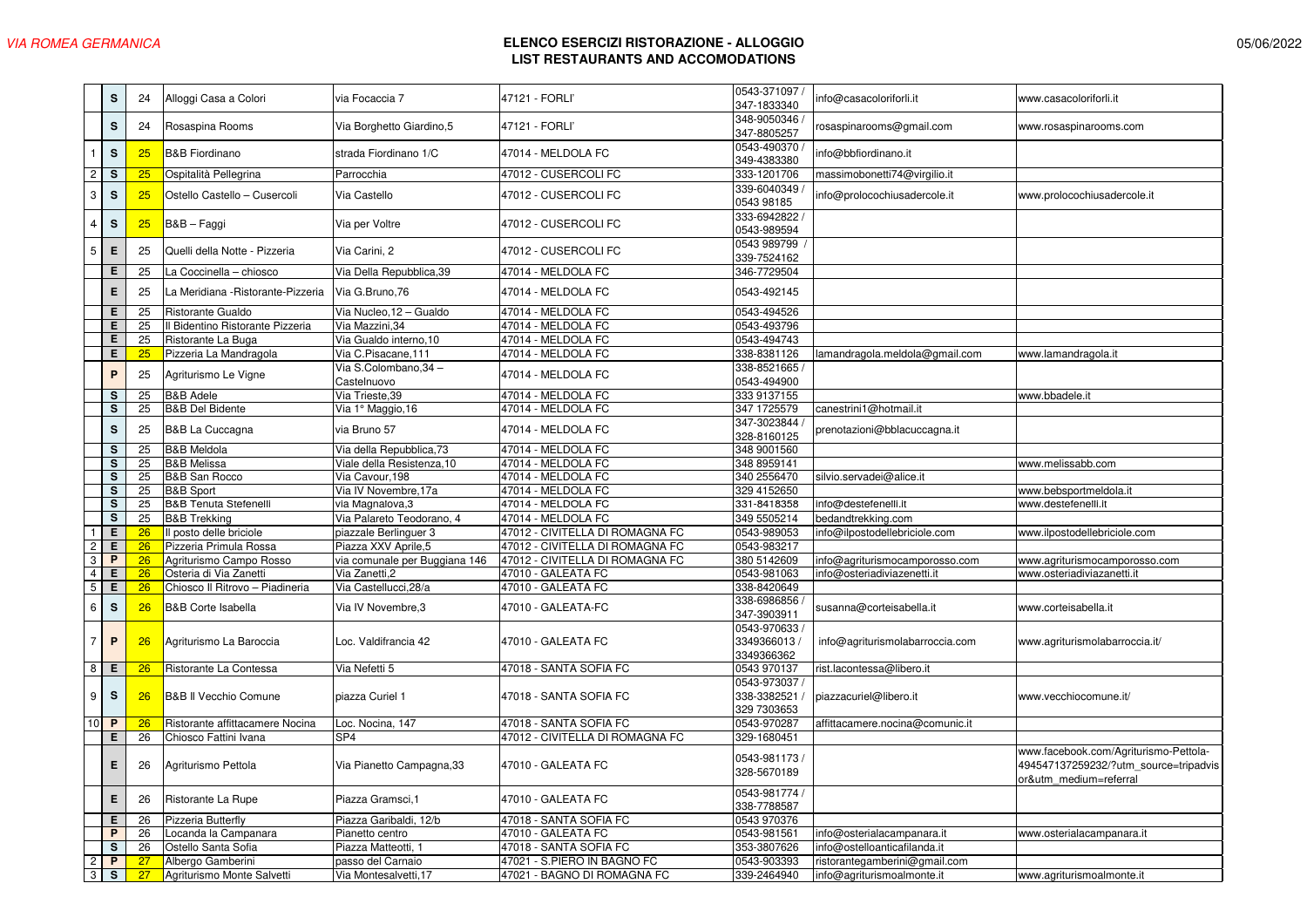|                | s                       | 24              | Alloggi Casa a Colori              | via Focaccia 7                | 47121 - FORLI'                  | 0543-371097 /<br>347-1833340                  | info@casacoloriforli.it         | www.casacoloriforli.it                                                                                   |
|----------------|-------------------------|-----------------|------------------------------------|-------------------------------|---------------------------------|-----------------------------------------------|---------------------------------|----------------------------------------------------------------------------------------------------------|
|                | s                       | 24              | Rosaspina Rooms                    | Via Borghetto Giardino, 5     | 47121 - FORLI'                  | 348-9050346<br>347-8805257                    | osaspinarooms@gmail.com         | www.rosaspinarooms.com                                                                                   |
| $\mathbf{1}$   | $\mathbf S$             | 25              | <b>B&amp;B Fiordinano</b>          | strada Fiordinano 1/C         | 47014 - MELDOLA FC              | 0543-490370<br>349-4383380                    | nfo@bbfiordinano.it             |                                                                                                          |
| $\overline{c}$ | $\mathbf s$             | 25              | Ospitalità Pellegrina              | Parrocchia                    | 47012 - CUSERCOLI FC            | 333-1201706                                   | massimobonetti74@virgilio.it    |                                                                                                          |
| 3              | ${\mathbb S}$           | 25              | Ostello Castello - Cusercoli       | Via Castello                  | 47012 - CUSERCOLI FC            | 339-6040349<br>0543 98185                     | nfo@prolocochiusadercole.it     | www.prolocochiusadercole.it                                                                              |
| 4              | $\mathbf S$             | 25              | B&B – Faggi                        | Via per Voltre                | 47012 - CUSERCOLI FC            | 333-6942822<br>0543-989594                    |                                 |                                                                                                          |
| $\mathbf 5$    | Е                       | 25              | Quelli della Notte - Pizzeria      | Via Carini, 2                 | 47012 - CUSERCOLI FC            | 0543 989799<br>339-7524162                    |                                 |                                                                                                          |
|                | Е                       | 25              | a Coccinella - chiosco             | Via Della Repubblica, 39      | 47014 - MELDOLA FC              | 346-7729504                                   |                                 |                                                                                                          |
|                | Е                       | 25              | La Meridiana - Ristorante-Pizzeria | Via G.Bruno, 76               | 47014 - MELDOLA FC              | 0543-492145                                   |                                 |                                                                                                          |
|                | Ε                       | $\overline{25}$ | Ristorante Gualdo                  | Via Nucleo, 12 - Gualdo       | 47014 - MELDOLA FC              | 0543-494526                                   |                                 |                                                                                                          |
|                | E                       | 25              | Il Bidentino Ristorante Pizzeria   | Via Mazzini, 34               | 47014 - MELDOLA FC              | 0543-493796                                   |                                 |                                                                                                          |
|                | Е                       | 25              | Ristorante La Buga                 | Via Gualdo interno, 10        | 47014 - MELDOLA FC              | 0543-494743                                   |                                 |                                                                                                          |
|                | E                       | 25              | Pizzeria La Mandragola             | Via C.Pisacane, 111           | 47014 - MELDOLA FC              | 338-8381126                                   | lamandragola.meldola@gmail.com  | www.lamandragola.it                                                                                      |
|                |                         |                 |                                    | Via S.Colombano.34 -          |                                 | 338-8521665 /                                 |                                 |                                                                                                          |
|                | $\mathsf{P}$            | 25              | Agriturismo Le Vigne               | Castelnuovo                   | 47014 - MELDOLA FC              | 0543-494900                                   |                                 |                                                                                                          |
|                | s                       | 25              | <b>B&amp;B</b> Adele               | Via Trieste, 39               | 47014 - MELDOLA FC              | 333 9137155                                   |                                 | www.bbadele.it                                                                                           |
|                | $\overline{\mathbf{s}}$ | 25              | <b>B&amp;B Del Bidente</b>         | Via 1° Maggio, 16             | 47014 - MELDOLA FC              | 347 1725579                                   | canestrini1@hotmail.it          |                                                                                                          |
|                | $\mathbf{s}$            | 25              | <b>B&amp;B La Cuccagna</b>         | via Bruno 57                  | 47014 - MELDOLA FC              | 347-3023844<br>328-8160125                    | prenotazioni@bblacuccagna.it    |                                                                                                          |
|                | s                       | 25              | <b>B&amp;B Meldola</b>             | Via della Repubblica, 73      | 47014 - MELDOLA FC              | 348 9001560                                   |                                 |                                                                                                          |
|                | s                       | 25              | <b>B&amp;B Melissa</b>             | Viale della Resistenza, 10    | 47014 - MELDOLA FC              | 348 8959141                                   |                                 | www.melissabb.com                                                                                        |
|                | $\mathbf s$             | 25              | B&B San Rocco                      | Via Cavour, 198               | 47014 - MELDOLA FC              | 340 2556470                                   | silvio.servadei@alice.i         |                                                                                                          |
|                | s                       | 25              | <b>B&amp;B Sport</b>               | Via IV Novembre, 17a          | 47014 - MELDOLA FC              | 329 4152650                                   |                                 | www.bebsportmeldola.it                                                                                   |
|                | s                       | 25              | <b>B&amp;B Tenuta Stefenelli</b>   | via Magnalova, 3              | 47014 - MELDOLA FC              | 331-8418358                                   | info@destefenelli.it            | www.destefenelli.it                                                                                      |
|                | $\mathbf s$             | 25              | <b>B&amp;B Trekking</b>            | Via Palareto Teodorano, 4     | 47014 - MELDOLA FC              | 349 5505214                                   | bedandtrekking.com              |                                                                                                          |
|                | Ε                       | 26              | Il posto delle briciole            | piazzale Berlinguer 3         | 47012 - CIVITELLA DI ROMAGNA FC | 0543-989053                                   | info@ilpostodellebriciole.com   | www.ilpostodellebriciole.com                                                                             |
| $\overline{c}$ | Е                       | 26              | Pizzeria Primula Rossa             | Piazza XXV Aprile, 5          | 47012 - CIVITELLA DI ROMAGNA FC | 0543-983217                                   |                                 |                                                                                                          |
| $_{\rm 3}$     | P                       | 26              | Agriturismo Campo Rosso            | via comunale per Buggiana 146 | 47012 - CIVITELLA DI ROMAGNA FC | 380 5142609                                   | info@agriturismocamporosso.com  | www.agriturismocamporosso.com                                                                            |
| $\overline{4}$ | Е                       | 26              | Osteria di Via Zanetti             | Via Zanetti,2                 | 47010 - GALEATA FC              | 0543-981063                                   | info@osteriadiviazenetti.it     | www.osteriadiviazanetti.it                                                                               |
| 5              | Е                       | 26              | Chiosco II Ritrovo - Piadineria    | Via Castellucci, 28/a         | 47010 - GALEATA FC              | 338-8420649                                   |                                 |                                                                                                          |
| $\,6\,$        | ${\mathbb S}$           | 26              | <b>B&amp;B Corte Isabella</b>      | Via IV Novembre, 3            | 47010 - GALEATA-FC              | 338-6986856<br>347-3903911                    | susanna@corteisabella.it        | www.corteisabella.it                                                                                     |
| 7              | $\mathsf P$             | 26              | Agriturismo La Baroccia            | Loc. Valdifrancia 42          | 47010 - GALEATA FC              | 0543-970633<br>3349366013<br>3349366362       | info@agriturismolabarroccia.com | www.agriturismolabarroccia.it/                                                                           |
| 8              | Е                       | 26              | Ristorante La Contessa             | Via Nefetti 5                 | 47018 - SANTA SOFIA FC          | 0543 970137                                   | rist.lacontessa@libero.it       |                                                                                                          |
| 9              | $\mathbf{s}$            | 26              | B&B II Vecchio Comune              | piazza Curiel 1               | 47018 - SANTA SOFIA FC          | 0543-973037 /<br>338-3382521 /<br>329 7303653 | piazzacuriel@libero.it          | www.vecchiocomune.it/                                                                                    |
| 10             | $\mathsf{P}$            | 26              | Ristorante affittacamere Nocina    | Loc. Nocina, 147              | 47018 - SANTA SOFIA FC          | 0543-970287                                   | affittacamere.nocina@comunic.it |                                                                                                          |
|                | Е                       | 26              | Chiosco Fattini Ivana              | SP <sub>4</sub>               | 47012 - CIVITELLA DI ROMAGNA FC | 329-1680451                                   |                                 |                                                                                                          |
|                | Е                       | 26              | Agriturismo Pettola                | Via Pianetto Campagna, 33     | 47010 - GALEATA FC              | 0543-981173<br>328-5670189                    |                                 | www.facebook.com/Agriturismo-Pettola-<br>494547137259232/?utm source=tripadvis<br>or&utm medium=referral |
|                | E                       | 26              | Ristorante La Rupe                 | Piazza Gramsci, 1             | 47010 - GALEATA FC              | 0543-981774 /<br>338-7788587                  |                                 |                                                                                                          |
|                | Е                       | 26              | Pizzeria Butterfly                 | Piazza Garibaldi, 12/b        | 47018 - SANTA SOFIA FC          | 0543 970376                                   |                                 |                                                                                                          |
|                | P                       | 26              | ocanda la Campanara                | Pianetto centro               | 47010 - GALEATA FC              | 0543-981561                                   | info@osterialacampanara.it      | www.osterialacampanara.it                                                                                |
|                | s                       | 26              | Ostello Santa Sofia                | Piazza Matteotti, 1           | 47018 - SANTA SOFIA FC          | 353-3807626                                   | info@ostelloanticafilanda.it    |                                                                                                          |
| $\overline{c}$ | P                       | 27              | Albergo Gamberini                  | passo del Carnaio             | 47021 - S.PIERO IN BAGNO FC     | 0543-903393                                   | ristorantegamberini@gmail.com   |                                                                                                          |
| 3              | s                       | 27              | Agriturismo Monte Salvetti         | Via Montesalvetti, 17         | 47021 - BAGNO DI ROMAGNA FC     | 339-2464940                                   | info@agriturismoalmonte.it      | www.agriturismoalmonte.it                                                                                |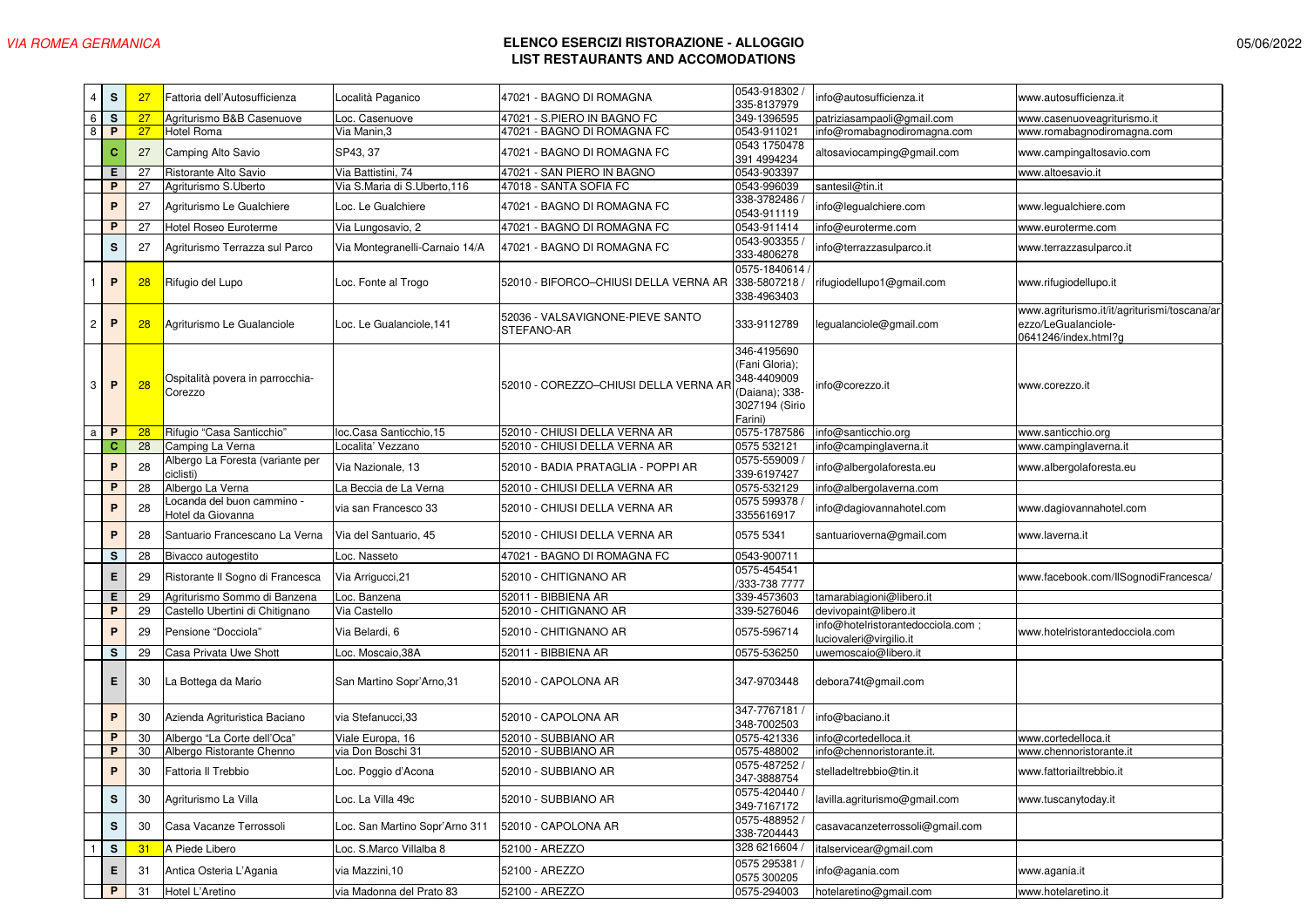| 4 | s            | 27 | Fattoria dell'Autosufficienza                   | Località Paganico              | 47021 - BAGNO DI ROMAGNA                       | 0543-918302<br>335-8137979                                                                  | info@autosufficienza.it                                     | www.autosufficienza.it                                                                      |
|---|--------------|----|-------------------------------------------------|--------------------------------|------------------------------------------------|---------------------------------------------------------------------------------------------|-------------------------------------------------------------|---------------------------------------------------------------------------------------------|
| 6 | s            | 27 | Agriturismo B&B Casenuove                       | Loc. Casenuove                 | 47021 - S.PIERO IN BAGNO FC                    | 349-1396595                                                                                 | patriziasampaoli@gmail.com                                  | www.casenuoveagriturismo.it                                                                 |
| 8 | P            | 27 | Hotel Roma                                      | Via Manin, 3                   | 47021 - BAGNO DI ROMAGNA FC                    | 0543-911021                                                                                 | info@romabagnodiromagna.com                                 | www.romabagnodiromagna.com                                                                  |
|   | c            | 27 | Camping Alto Savio                              | SP43, 37                       | 47021 - BAGNO DI ROMAGNA FC                    | 0543 1750478<br>391 4994234                                                                 | altosaviocamping@gmail.com                                  | www.campingaltosavio.com                                                                    |
|   | Е            | 27 | Ristorante Alto Savio                           | Via Battistini, 74             | 47021 - SAN PIERO IN BAGNO                     | 0543-903397                                                                                 |                                                             | www.altoesavio.it                                                                           |
|   | P            | 27 | Agriturismo S.Uberto                            | Via S.Maria di S.Uberto, 116   | 47018 - SANTA SOFIA FC                         | 0543-996039                                                                                 | santesil@tin.it                                             |                                                                                             |
|   | P            | 27 | Agriturismo Le Gualchiere                       | Loc. Le Gualchiere             | 47021 - BAGNO DI ROMAGNA FC                    | 338-3782486<br>0543-911119                                                                  | info@legualchiere.com                                       | www.legualchiere.com                                                                        |
|   | P            | 27 | Hotel Roseo Euroterme                           | Via Lungosavio, 2              | 47021 - BAGNO DI ROMAGNA FC                    | 0543-911414                                                                                 | nfo@euroterme.com                                           | www.euroterme.com                                                                           |
|   | s            | 27 | Agriturismo Terrazza sul Parco                  | Via Montegranelli-Carnaio 14/A | 47021 - BAGNO DI ROMAGNA FC                    | 0543-903355<br>333-4806278                                                                  | nfo@terrazzasulparco.it                                     | www.terrazzasulparco.it                                                                     |
|   | P            | 28 | Rifugio del Lupo                                | Loc. Fonte al Trogo            | 52010 - BIFORCO-CHIUSI DELLA VERNA AR          | 0575-1840614 /<br>338-5807218 /<br>338-4963403                                              | rifugiodellupo1@gmail.com                                   | www.rifugiodellupo.it                                                                       |
| 2 | P            | 28 | Agriturismo Le Gualanciole                      | Loc. Le Gualanciole, 141       | 52036 - VALSAVIGNONE-PIEVE SANTO<br>STEFANO-AR | 333-9112789                                                                                 | legualanciole@gmail.com                                     | www.agriturismo.it/it/agriturismi/toscana/ar<br>ezzo/LeGualanciole-<br>0641246/index.html?g |
| 3 | P            | 28 | Ospitalità povera in parrocchia-<br>Corezzo     |                                | 52010 - COREZZO-CHIUSI DELLA VERNA AF          | 346-4195690<br>(Fani Gloria);<br>348-4409009<br>(Daiana); 338-<br>3027194 (Sirio<br>Farini) | info@corezzo.it                                             | www.corezzo.it                                                                              |
| a | P            | 28 | Rifugio "Casa Santicchio"                       | loc.Casa Santicchio,15         | 52010 - CHIUSI DELLA VERNA AR                  | 0575-1787586                                                                                | info@santicchio.org                                         | www.santicchio.org                                                                          |
|   | c            | 28 | Camping La Verna                                | Localita' Vezzano              | 52010 - CHIUSI DELLA VERNA AR                  | 0575 532121                                                                                 | info@campinglaverna.it                                      | www.campinglaverna.it                                                                       |
|   | P            | 28 | Albergo La Foresta (variante per<br>ciclisti)   | Via Nazionale, 13              | 52010 - BADIA PRATAGLIA - POPPI AR             | 0575-559009<br>339-6197427                                                                  | info@albergolaforesta.eu                                    | www.albergolaforesta.eu                                                                     |
|   | P            | 28 | Albergo La Verna                                | La Beccia de La Verna          | 52010 - CHIUSI DELLA VERNA AR                  | 0575-532129                                                                                 | info@albergolaverna.com                                     |                                                                                             |
|   | P            | 28 | -ocanda del buon cammino -<br>Hotel da Giovanna | via san Francesco 33           | 52010 - CHIUSI DELLA VERNA AR                  | 0575 599378<br>3355616917                                                                   | nfo@dagiovannahotel.com                                     | www.dagiovannahotel.com                                                                     |
|   | P            | 28 | Santuario Francescano La Verna                  | Via del Santuario, 45          | 52010 - CHIUSI DELLA VERNA AR                  | 0575 5341                                                                                   | santuarioverna@gmail.com                                    | www.laverna.it                                                                              |
|   | s            | 28 | Bivacco autogestito                             | Loc. Nasseto                   | 47021 - BAGNO DI ROMAGNA FC                    | 0543-900711                                                                                 |                                                             |                                                                                             |
|   | Е            | 29 | Ristorante II Sogno di Francesca                | Via Arrigucci, 21              | 52010 - CHITIGNANO AR                          | 0575-454541<br>333-738 7777                                                                 |                                                             | www.facebook.com/IISognodiFrancesca/                                                        |
|   | Е            | 29 | Agriturismo Sommo di Banzena                    | Loc. Banzena                   | 52011 - BIBBIENA AR                            | 339-4573603                                                                                 | tamarabiagioni@libero.it                                    |                                                                                             |
|   | $\mathsf{P}$ | 29 | Castello Ubertini di Chitignano                 | Via Castello                   | 52010 - CHITIGNANO AR                          | 339-5276046                                                                                 | devivopaint@libero.it                                       |                                                                                             |
|   | P            | 29 | Pensione "Docciola"                             | Via Belardi, 6                 | 52010 - CHITIGNANO AR                          | 0575-596714                                                                                 | nfo@hotelristorantedocciola.com;<br>luciovaleri@virgilio.it | www.hotelristorantedocciola.com                                                             |
|   | s            | 29 | Casa Privata Uwe Shott                          | Loc. Moscaio, 38A              | 52011 - BIBBIENA AR                            | 0575-536250                                                                                 | uwemoscaio@libero.it                                        |                                                                                             |
|   | Е            | 30 | La Bottega da Mario                             | San Martino Sopr'Arno,31       | 52010 - CAPOLONA AR                            | 347-9703448                                                                                 | debora74t@gmail.com                                         |                                                                                             |
|   | P            | 30 | Azienda Agrituristica Baciano                   | via Stefanucci, 33             | 52010 - CAPOLONA AR                            | 347-7767181<br>348-7002503                                                                  | nfo@baciano.it                                              |                                                                                             |
|   | $\mathsf{P}$ | 30 | Albergo "La Corte dell'Oca"                     | Viale Europa, 16               | 52010 - SUBBIANO AR                            | 0575-421336                                                                                 | nfo@cortedelloca.it                                         | www.cortedelloca.it                                                                         |
|   | P            | 30 | Albergo Ristorante Chenno                       | via Don Boschi 31              | 52010 - SUBBIANO AR                            | 0575-488002                                                                                 | info@chennoristorante.it.                                   | www.chennoristorante.it                                                                     |
|   | P            | 30 | Fattoria II Trebbio                             | Loc. Poggio d'Acona            | 52010 - SUBBIANO AR                            | 0575-487252 /<br>347-3888754                                                                | stelladeltrebbio@tin.it                                     | www.fattoriailtrebbio.it                                                                    |
|   | s            | 30 | Agriturismo La Villa                            | Loc. La Villa 49c              | 52010 - SUBBIANO AR                            | 0575-420440 /<br>349-7167172                                                                | lavilla.agriturismo@gmail.com                               | www.tuscanytoday.it                                                                         |
|   | s            | 30 | Casa Vacanze Terrossoli                         | Loc. San Martino Sopr'Arno 311 | 52010 - CAPOLONA AR                            | 0575-488952<br>338-7204443                                                                  | casavacanzeterrossoli@gmail.com                             |                                                                                             |
|   | s            | 31 | A Piede Libero                                  | Loc. S.Marco Villalba 8        | 52100 - AREZZO                                 | 328 6216604                                                                                 | italservicear@gmail.com                                     |                                                                                             |
|   | Е            | 31 | Antica Osteria L'Agania                         | via Mazzini, 10                | 52100 - AREZZO                                 | 0575 295381<br>0575 300205                                                                  | info@agania.com                                             | www.agania.it                                                                               |
|   | P            | 31 | Hotel L'Aretino                                 | via Madonna del Prato 83       | 52100 - AREZZO                                 | 0575-294003                                                                                 | hotelaretino@gmail.com                                      | www.hotelaretino.it                                                                         |
|   |              |    |                                                 |                                |                                                |                                                                                             |                                                             |                                                                                             |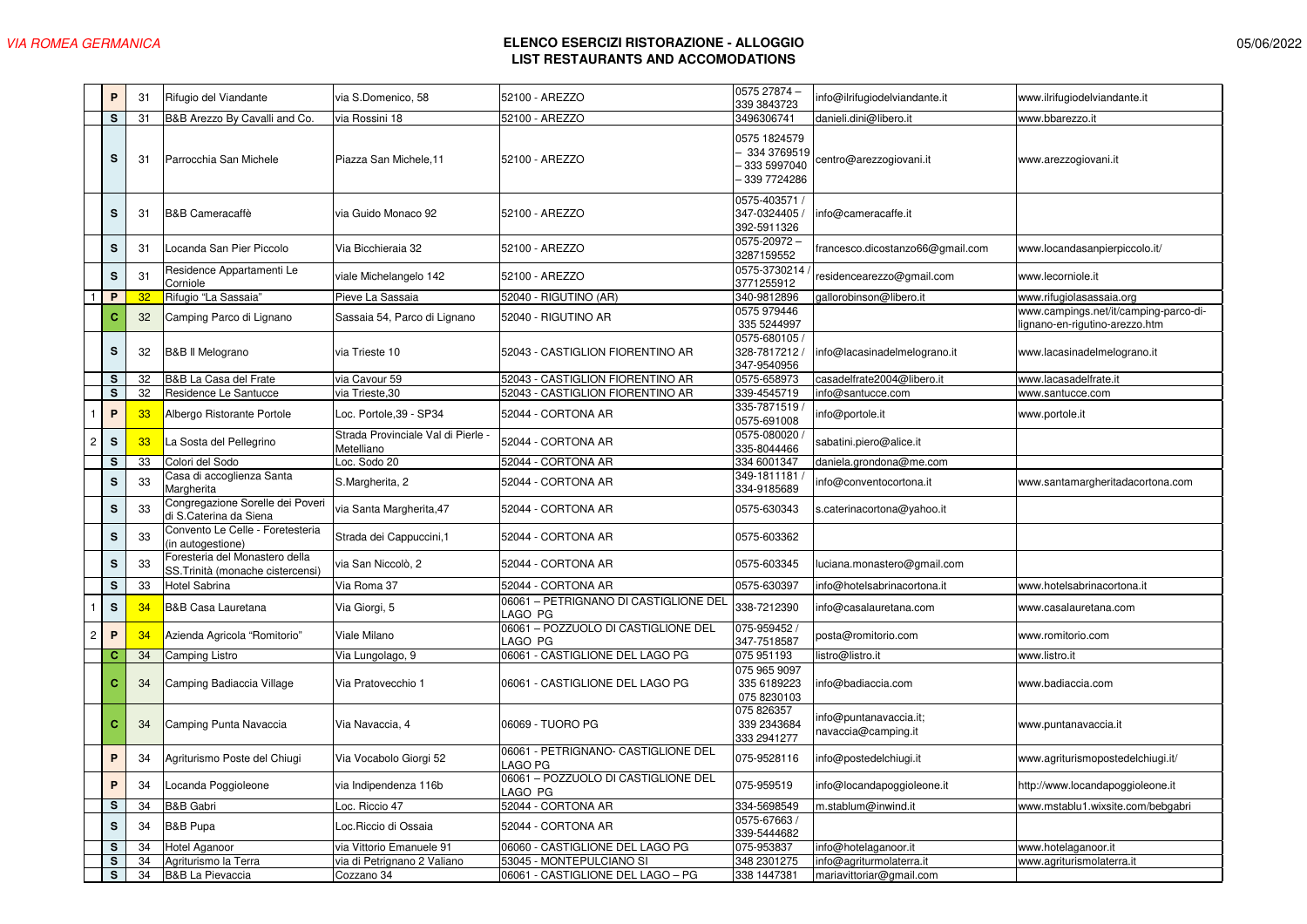|                         | P            | 31 | Rifugio del Viandante                                              | via S.Domenico, 58                             | 52100 - AREZZO                                   | 0575 27874 -<br>339 3843723                               | info@ilrifugiodelviandante.it                | www.ilrifugiodelviandante.it                                           |
|-------------------------|--------------|----|--------------------------------------------------------------------|------------------------------------------------|--------------------------------------------------|-----------------------------------------------------------|----------------------------------------------|------------------------------------------------------------------------|
|                         | s            | 31 | B&B Arezzo By Cavalli and Co.                                      | via Rossini 18                                 | 52100 - AREZZO                                   | 3496306741                                                | danieli.dini@libero.it                       | www.bbarezzo.it                                                        |
|                         | s            | 31 | Parrocchia San Michele                                             | Piazza San Michele, 11                         | 52100 - AREZZO                                   | 0575 1824579<br>334 3769519<br>333 5997040<br>339 7724286 | centro@arezzogiovani.it                      | www.arezzogiovani.it                                                   |
|                         | s            | 31 | <b>B&amp;B Cameracaffè</b>                                         | via Guido Monaco 92                            | 52100 - AREZZO                                   | 0575-403571 /<br>347-0324405<br>392-5911326               | info@cameracaffe.it                          |                                                                        |
|                         | s            | 31 | Locanda San Pier Piccolo                                           | Via Bicchieraia 32                             | 52100 - AREZZO                                   | 0575-20972-<br>3287159552                                 | rancesco.dicostanzo66@gmail.com              | www.locandasanpierpiccolo.it/                                          |
|                         | S            | 31 | Residence Appartamenti Le<br>Corniole                              | viale Michelangelo 142                         | 52100 - AREZZO                                   | 0575-3730214<br>3771255912                                | residencearezzo@gmail.com                    | www.lecorniole.it                                                      |
| $\mathbf{1}$            | P            | 32 | Rifugio "La Sassaia"                                               | Pieve La Sassaia                               | 52040 - RIGUTINO (AR)                            | 340-9812896                                               | gallorobinson@libero.it                      | www.rifugiolasassaia.org                                               |
|                         | c            | 32 | Camping Parco di Lignano                                           | Sassaia 54, Parco di Lignano                   | 52040 - RIGUTINO AR                              | 0575 979446<br>335 5244997                                |                                              | www.campings.net/it/camping-parco-di-<br>ignano-en-rigutino-arezzo.htm |
|                         | s            | 32 | <b>B&amp;B II Melograno</b>                                        | via Trieste 10                                 | 52043 - CASTIGLION FIORENTINO AR                 | 0575-680105 /<br>328-7817212 /<br>347-9540956             | info@lacasinadelmelograno.it                 | www.lacasinadelmelograno.it                                            |
|                         | s            | 32 | B&B La Casa del Frate                                              | via Cavour 59                                  | 52043 - CASTIGLION FIORENTINO AR                 | 0575-658973                                               | casadelfrate2004@libero.it                   | www.lacasadelfrate.it                                                  |
|                         | s            | 32 | Residence Le Santucce                                              | via Trieste, 30                                | 52043 - CASTIGLION FIORENTINO AR                 | 339-4545719                                               | nfo@santucce.com                             | www.santucce.com                                                       |
|                         | P            | 33 | Albergo Ristorante Portole                                         | Loc. Portole, 39 - SP34                        | 52044 - CORTONA AR                               | 335-7871519<br>0575-691008                                | nfo@portole.it                               | www.portole.it                                                         |
| $\overline{c}$          | $\mathbf s$  | 33 | La Sosta del Pellegrino                                            | Strada Provinciale Val di Pierle<br>Metelliano | 52044 - CORTONA AR                               | 0575-080020<br>335-8044466                                | sabatini.piero@alice.it                      |                                                                        |
|                         | s            | 33 | Colori del Sodo                                                    | Loc. Sodo 20                                   | 52044 - CORTONA AR                               | 334 6001347                                               | daniela.grondona@me.com                      |                                                                        |
|                         | s            | 33 | Casa di accoglienza Santa<br>Margherita                            | S.Margherita, 2                                | 52044 - CORTONA AR                               | 349-1811181<br>334-9185689                                | nfo@conventocortona.it                       | www.santamargheritadacortona.com                                       |
|                         | s            | 33 | Congregazione Sorelle dei Poveri<br>di S.Caterina da Siena         | via Santa Margherita, 47                       | 52044 - CORTONA AR                               | 0575-630343                                               | s.caterinacortona@yahoo.it                   |                                                                        |
|                         | s            | 33 | Convento Le Celle - Foretesteria<br>(in autogestione)              | Strada dei Cappuccini, 1                       | 52044 - CORTONA AR                               | 0575-603362                                               |                                              |                                                                        |
|                         | s            | 33 | Foresteria del Monastero della<br>SS.Trinità (monache cistercensi) | via San Niccolò, 2                             | 52044 - CORTONA AR                               | 0575-603345                                               | uciana.monastero@gmail.com                   |                                                                        |
|                         | $\mathbf s$  | 33 | Hotel Sabrina                                                      | Via Roma 37                                    | 52044 - CORTONA AR                               | 0575-630397                                               | nfo@hotelsabrinacortona.it                   | www.hotelsabrinacortona.it                                             |
| $\mathbf{1}$            | S            | 34 | <b>B&amp;B Casa Lauretana</b>                                      | Via Giorgi, 5                                  | 06061 - PETRIGNANO DI CASTIGLIONE DEL<br>LAGO PG | 338-7212390                                               | nfo@casalauretana.com                        | www.casalauretana.com                                                  |
| $\overline{\mathbf{c}}$ | $\mathsf{P}$ | 34 | Azienda Agricola "Romitorio"                                       | Viale Milano                                   | 06061 - POZZUOLO DI CASTIGLIONE DEL<br>LAGO PG   | 075-959452<br>347-7518587                                 | posta@romitorio.com                          | www.romitorio.com                                                      |
|                         | c            | 34 | Camping Listro                                                     | Via Lungolago, 9                               | 06061 - CASTIGLIONE DEL LAGO PG                  | 075 951193                                                | istro@listro.it                              | www.listro.it                                                          |
|                         | c            | 34 | Camping Badiaccia Village                                          | Via Pratovecchio 1                             | 06061 - CASTIGLIONE DEL LAGO PG                  | 075 965 9097<br>335 6189223<br>075 8230103                | nfo@badiaccia.com                            | www.badiaccia.com                                                      |
|                         | $\mathbf{C}$ | 34 | Camping Punta Navaccia                                             | Via Navaccia, 4                                | 06069 - TUORO PG                                 | 075 826357<br>339 2343684<br>333 2941 277                 | nfo@puntanavaccia.it;<br>navaccia@camping.it | www.puntanavaccia.it                                                   |
|                         | P            | 34 | Agriturismo Poste del Chiugi                                       | Via Vocabolo Giorgi 52                         | 06061 - PETRIGNANO- CASTIGLIONE DEL<br>LAGO PG   | 075-9528116                                               | nfo@postedelchiugi.it                        | www.agriturismopostedelchiugi.it/                                      |
|                         | P            | 34 | Locanda Poggioleone                                                | via Indipendenza 116b                          | 06061 - POZZUOLO DI CASTIGLIONE DEL<br>LAGO PG   | 075-959519                                                | nfo@locandapoggioleone.it                    | http://www.locandapoggioleone.it                                       |
|                         | S            | 34 | <b>B&amp;B Gabri</b>                                               | Loc. Riccio 47                                 | 52044 - CORTONA AR                               | 334-5698549                                               | m.stablum@inwind.it                          | www.mstablu1.wixsite.com/bebgabri                                      |
|                         | s            | 34 | <b>B&amp;B Pupa</b>                                                | Loc. Riccio di Ossaia                          | 52044 - CORTONA AR                               | 0575-67663<br>339-5444682                                 |                                              |                                                                        |
|                         | s            | 34 | Hotel Aganoor                                                      | via Vittorio Emanuele 91                       | 06060 - CASTIGLIONE DEL LAGO PG                  | 075-953837                                                | nfo@hotelaganoor.it                          | www.hotelaganoor.it                                                    |
|                         | s            | 34 | Agriturismo la Terra                                               | via di Petrignano 2 Valiano                    | 53045 - MONTEPULCIANO SI                         | 348 2301275                                               | nfo@agriturmolaterra.it                      | www.agriturismolaterra.it                                              |
|                         | s            | 34 | <b>B&amp;B La Pievaccia</b>                                        | Cozzano 34                                     | 06061 - CASTIGLIONE DEL LAGO - PG                | 338 1447381                                               | mariavittoriar@gmail.com                     |                                                                        |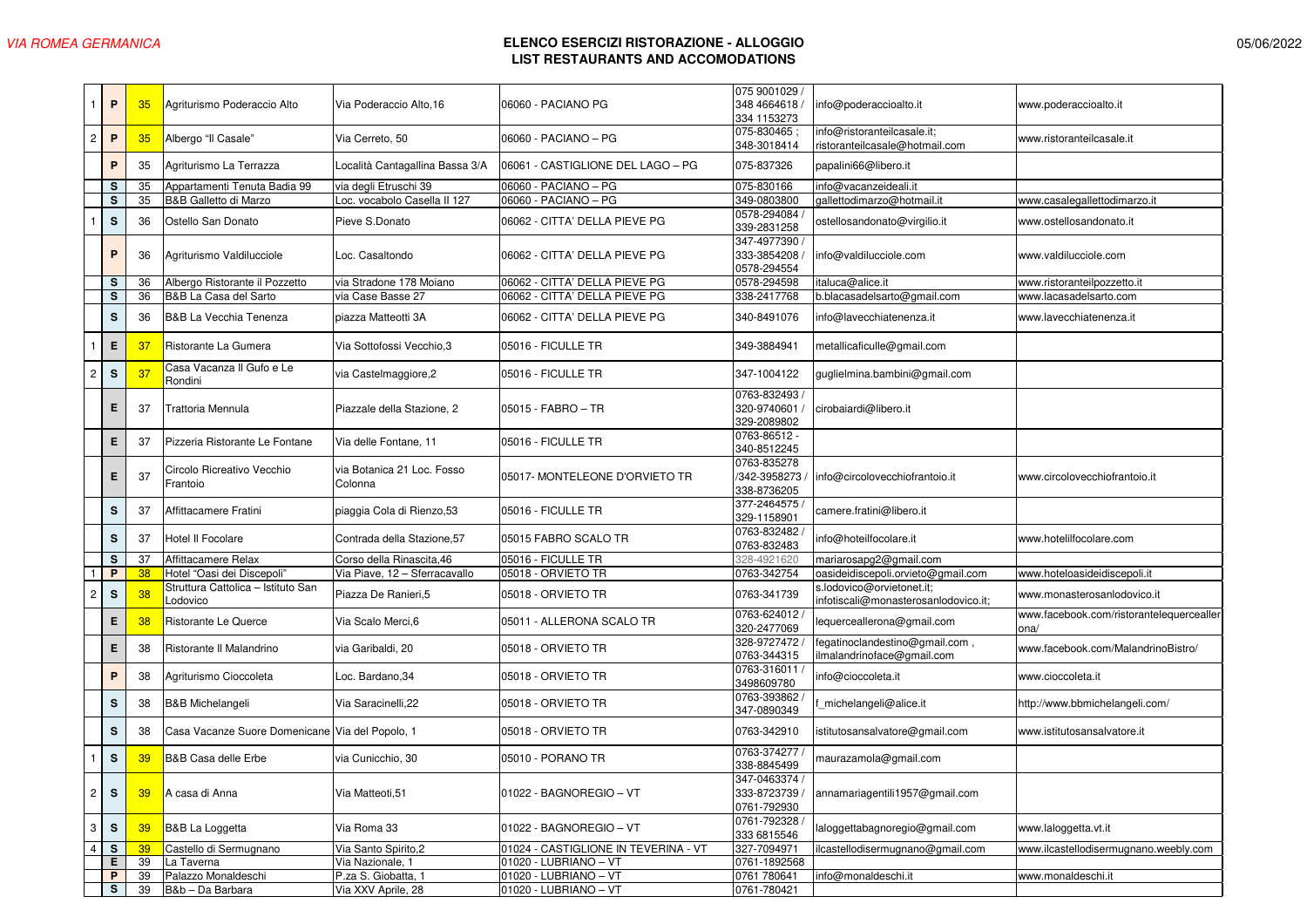|                         | P                       | 35 | Agriturismo Poderaccio Alto                     | Via Poderaccio Alto.16                | 06060 - PACIANO PG                   | 075 9001029 /<br>348 4664618 /<br>334 1153273        | info@poderaccioalto.it                                            | www.poderaccioalto.it                            |
|-------------------------|-------------------------|----|-------------------------------------------------|---------------------------------------|--------------------------------------|------------------------------------------------------|-------------------------------------------------------------------|--------------------------------------------------|
| $\overline{c}$          | P                       | 35 | Albergo "Il Casale"                             | Via Cerreto, 50                       | 06060 - PACIANO – PG                 | 075-830465;<br>348-3018414                           | info@ristoranteilcasale.it;<br>ristoranteilcasale@hotmail.com     | www.ristoranteilcasale.it                        |
|                         | P                       | 35 | Agriturismo La Terrazza                         | ocalità Cantagallina Bassa 3/A        | 06061 - CASTIGLIONE DEL LAGO - PG    | 075-837326                                           | papalini66@libero.it                                              |                                                  |
|                         | s                       | 35 | Appartamenti Tenuta Badia 99                    | via degli Etruschi 39                 | 06060 - PACIANO - PG                 | 075-830166                                           | info@vacanzeideali.it                                             |                                                  |
|                         | $\overline{\mathbf{s}}$ | 35 | B&B Galletto di Marzo                           | Loc. vocabolo Casella II 127          | 06060 - PACIANO - PG                 | 349-0803800                                          | gallettodimarzo@hotmail.it                                        | www.casalegallettodimarzo.it                     |
|                         |                         |    |                                                 |                                       |                                      |                                                      |                                                                   |                                                  |
|                         | $\mathsf{s}$            | 36 | Ostello San Donato                              | Pieve S.Donato                        | 06062 - CITTA' DELLA PIEVE PG        | 0578-294084<br>339-2831258                           | ostellosandonato@virgilio.it                                      | www.ostellosandonato.it                          |
|                         | P                       | 36 | Agriturismo Valdilucciole                       | Loc. Casaltondo                       | 06062 - CITTA' DELLA PIEVE PG        | 347-4977390 /<br>333-3854208<br>0578-294554          | info@valdilucciole.com                                            | www.valdilucciole.com                            |
|                         | s                       | 36 | Albergo Ristorante il Pozzetto                  | via Stradone 178 Moiano               | 06062 - CITTA' DELLA PIEVE PG        | 0578-294598                                          | italuca@alice.it                                                  | www.ristoranteilpozzetto.it                      |
|                         | s                       | 36 | B&B La Casa del Sarto                           | via Case Basse 27                     | 06062 - CITTA' DELLA PIEVE PG        | 338-2417768                                          | b.blacasadelsarto@gmail.com                                       | www.lacasadelsarto.com                           |
|                         | s                       | 36 | <b>B&amp;B La Vecchia Tenenza</b>               | piazza Matteotti 3A                   | 06062 - CITTA' DELLA PIEVE PG        | 340-8491076                                          | info@lavecchiatenenza.it                                          | www.lavecchiatenenza.it                          |
|                         | E                       | 37 | Ristorante La Gumera                            | Via Sottofossi Vecchio, 3             | 05016 - FICULLE TR                   | 349-3884941                                          | metallicaficulle@gmail.com                                        |                                                  |
| $\overline{c}$          | $\mathbf s$             | 37 | Casa Vacanza II Gufo e Le<br>Rondini            | via Castelmaggiore, 2                 | 05016 - FICULLE TR                   | 347-1004122                                          | guglielmina.bambini@gmail.com                                     |                                                  |
|                         | Е                       | 37 | Trattoria Mennula                               | Piazzale della Stazione, 2            | 05015 - FABRO - TR                   | 0763-832493 /<br>320-9740601 /<br>329-2089802        | cirobaiardi@libero.it                                             |                                                  |
|                         | Е                       | 37 | Pizzeria Ristorante Le Fontane                  | Via delle Fontane, 11                 | 05016 - FICULLE TR                   | 0763-86512 -<br>340-8512245                          |                                                                   |                                                  |
|                         | Е                       | 37 | Circolo Ricreativo Vecchio<br>Frantoio          | via Botanica 21 Loc. Fosso<br>Colonna | 05017- MONTELEONE D'ORVIETO TR       | 0763-835278<br>/342-3958273 /<br>338-8736205         | info@circolovecchiofrantoio.it                                    | www.circolovecchiofrantoio.it                    |
|                         | s                       | 37 | Affittacamere Fratini                           | piaggia Cola di Rienzo, 53            | 05016 - FICULLE TR                   | 377-2464575<br>329-1158901                           | camere.fratini@libero.it                                          |                                                  |
|                         | s                       | 37 | Hotel II Focolare                               | Contrada della Stazione, 57           | 05015 FABRO SCALO TR                 | 0763-832482<br>0763-832483                           | info@hoteilfocolare.it                                            | www.hotelilfocolare.com                          |
|                         | s                       | 37 | Affittacamere Relax                             | Corso della Rinascita, 46             | 05016 - FICULLE TR                   | 328-4921620                                          | mariarosapg2@gmail.com                                            |                                                  |
|                         | P                       | 38 | Hotel "Oasi dei Discepoli"                      | Via Piave, 12 - Sferracavallo         | 05018 - ORVIETO TR                   | 0763-342754                                          | oasideidiscepoli.orvieto@gmail.com                                | www.hoteloasideidiscepoli.it                     |
| $\overline{c}$          | S                       | 38 | Struttura Cattolica - Istituto San<br>Lodovico  | Piazza De Ranieri, 5                  | 05018 - ORVIETO TR                   | 0763-341739                                          | s.lodovico@orvietonet.it;<br>infotiscali@monasterosanlodovico.it; | www.monasterosanlodovico.it                      |
|                         | Е                       | 38 | Ristorante Le Querce                            | Via Scalo Merci, 6                    | 05011 - ALLERONA SCALO TR            | 0763-624012<br>320-2477069                           | lequerceallerona@gmail.com                                        | www.facebook.com/ristorantelequercealler<br>ona/ |
|                         | Е                       | 38 | Ristorante II Malandrino                        | via Garibaldi, 20                     | 05018 - ORVIETO TR                   | 328-9727472<br>0763-344315                           | fegatinoclandestino@gmail.com,<br>ilmalandrinoface@gmail.com      | www.facebook.com/MalandrinoBistro/               |
|                         | P                       | 38 | Agriturismo Cioccoleta                          | .oc. Bardano,34                       | 05018 - ORVIETO TR                   | 0763-316011<br>3498609780                            | info@cioccoleta.it                                                | www.cioccoleta.it                                |
|                         | s                       | 38 | <b>B&amp;B Michelangeli</b>                     | Via Saracinelli, 22                   | 05018 - ORVIETO TR                   | 0763-393862<br>347-0890349                           | _michelangeli@alice.it                                            | http://www.bbmichelangeli.com/                   |
|                         | s                       | 38 | Casa Vacanze Suore Domenicane Via del Popolo, 1 |                                       | 05018 - ORVIETO TR                   | 0763-342910                                          | istitutosansalvatore@gmail.com                                    | www.istitutosansalvatore.it                      |
|                         | s                       | 39 | <b>B&amp;B Casa delle Erbe</b>                  | via Cunicchio, 30                     | 05010 - PORANO TR                    | 0763-374277<br>338-8845499                           | maurazamola@gmail.com                                             |                                                  |
| $\overline{\mathbf{c}}$ | S                       | 39 | A casa di Anna                                  | Via Matteoti, 51                      | 01022 - BAGNOREGIO - VT              | 347-0463374 <i>/</i><br>333-8723739 /<br>0761-792930 | annamariagentili1957@gmail.com                                    |                                                  |
| 3                       | $\mathbf s$             | 39 | B&B La Loggetta                                 | Via Roma 33                           | 01022 - BAGNOREGIO - VT              | 0761-792328<br>333 6815546                           | laloggettabagnoregio@gmail.com                                    | www.laloggetta.vt.it                             |
| $\overline{4}$          | s                       | 39 | Castello di Sermugnano                          | Via Santo Spirito, 2                  | 01024 - CASTIGLIONE IN TEVERINA - VT | 327-7094971                                          | lcastellodisermugnano@gmail.com                                   | www.ilcastellodisermugnano.weebly.com            |
|                         | Е                       | 39 | La Taverna                                      | Via Nazionale, 1                      | 01020 - LUBRIANO - VT                | 0761-1892568                                         |                                                                   |                                                  |
|                         | P                       | 39 | Palazzo Monaldeschi                             | P.za S. Giobatta, 1                   | 01020 - LUBRIANO - VT                | 0761 780641                                          | info@monaldeschi.it                                               | www.monaldeschi.it                               |
|                         | s                       | 39 | B&b - Da Barbara                                | Via XXV Aprile, 28                    | 01020 - LUBRIANO - VT                | 0761-780421                                          |                                                                   |                                                  |
|                         |                         |    |                                                 |                                       |                                      |                                                      |                                                                   |                                                  |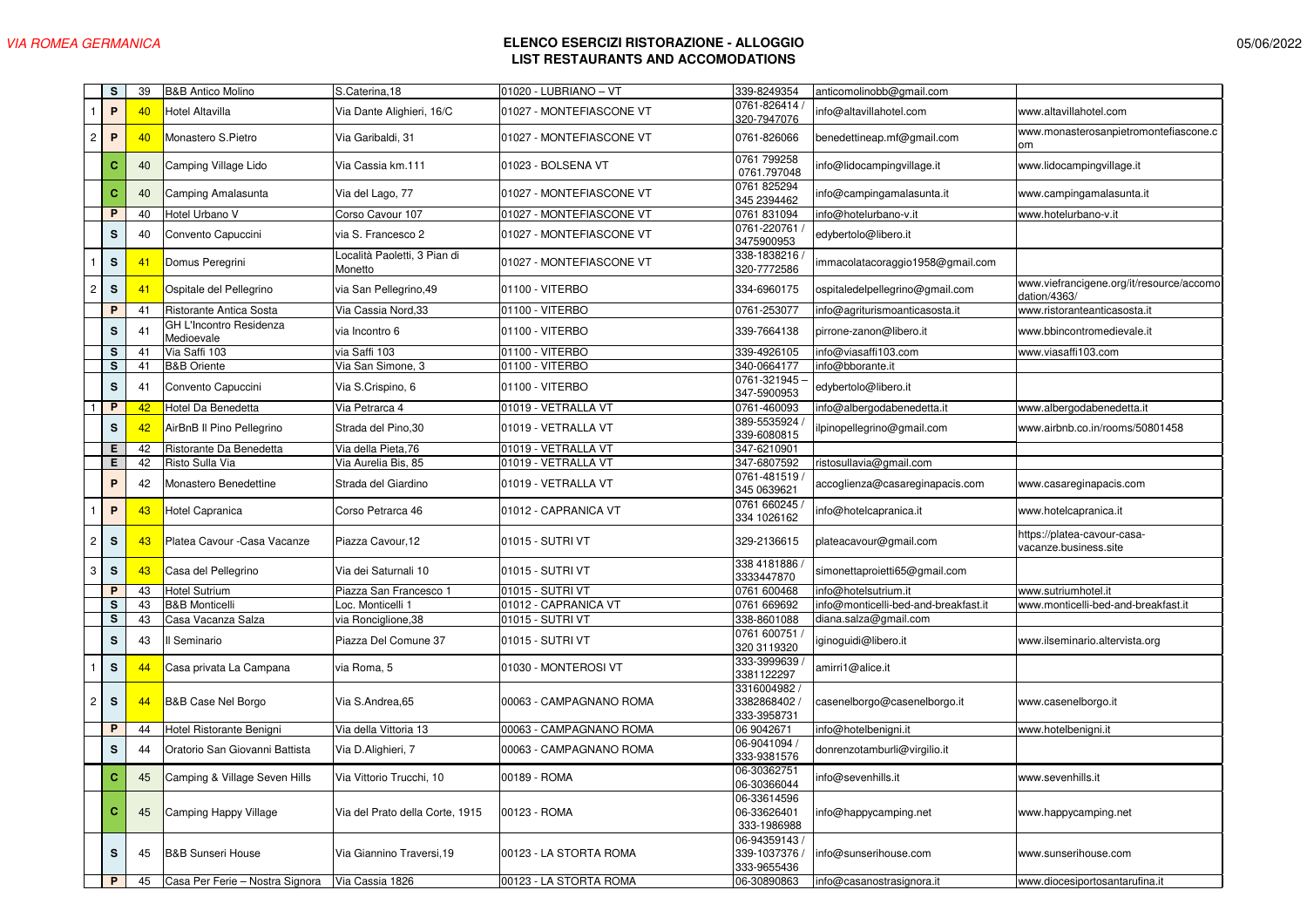|                | s                       | 39 | <b>B&amp;B Antico Molino</b>          | S.Caterina, 18                          | 01020 - LUBRIANO - VT    | 339-8249354                               | anticomolinobb@gmail.com             |                                                          |
|----------------|-------------------------|----|---------------------------------------|-----------------------------------------|--------------------------|-------------------------------------------|--------------------------------------|----------------------------------------------------------|
| -1             | $\mathsf{P}$            | 40 | Hotel Altavilla                       | Via Dante Alighieri, 16/C               | 01027 - MONTEFIASCONE VT | 0761-826414<br>320-7947076                | info@altavillahotel.com              | www.altavillahotel.com                                   |
| $\overline{2}$ | P                       | 40 | Monastero S.Pietro                    | Via Garibaldi, 31                       | 01027 - MONTEFIASCONE VT | 0761-826066                               | benedettineap.mf@gmail.com           | www.monasterosanpietromontefiascone.c                    |
|                | c                       | 40 | Camping Village Lido                  | Via Cassia km.111                       | 01023 - BOLSENA VT       | 0761 799258<br>0761.797048                | nfo@lidocampingvillage.it            | www.lidocampingvillage.it                                |
|                | $\mathbf{C}$            | 40 | Camping Amalasunta                    | Via del Lago, 77                        | 01027 - MONTEFIASCONE VT | 0761 825294<br>345 2394462                | info@campingamalasunta.it            | www.campingamalasunta.it                                 |
|                | $\overline{P}$          | 40 | Hotel Urbano V                        | Corso Cavour 107                        | 01027 - MONTEFIASCONE VT | 0761 831094                               | info@hotelurbano-v.it                | www.hotelurbano-v.it                                     |
|                | $\mathbf s$             | 40 | Convento Capuccini                    | via S. Francesco 2                      | 01027 - MONTEFIASCONE VT | 0761-220761<br>3475900953                 | edybertolo@libero.it                 |                                                          |
|                | $\mathbf{s}$            | 41 | Domus Peregrini                       | Località Paoletti, 3 Pian di<br>Monetto | 01027 - MONTEFIASCONE VT | 338-1838216<br>320-7772586                | mmacolatacoraggio1958@gmail.com      |                                                          |
| $\overline{c}$ | $\mathbf S$             | 41 | Ospitale del Pellegrino               | via San Pellegrino, 49                  | 01100 - VITERBO          | 334-6960175                               | ospitaledelpellegrino@gmail.com      | www.viefrancigene.org/it/resource/accomo<br>dation/4363/ |
|                | P                       | 41 | Ristorante Antica Sosta               | Via Cassia Nord, 33                     | 01100 - VITERBO          | 0761-253077                               | info@agriturismoanticasosta.it       | www.ristoranteanticasosta.it                             |
|                | s                       | 41 | GH L'Incontro Residenza<br>Medioevale | via Incontro 6                          | 01100 - VITERBO          | 339-7664138                               | pirrone-zanon@libero.it              | www.bbincontromedievale.it                               |
|                | s                       | 41 | Via Saffi 103                         | via Saffi 103                           | 01100 - VITERBO          | 339-4926105                               | info@viasaffi103.com                 | www.viasaffi103.com                                      |
|                | $\overline{\mathbf{s}}$ | 41 | <b>B&amp;B Oriente</b>                | Via San Simone, 3                       | 01100 - VITERBO          | 340-0664177                               | info@bborante.it                     |                                                          |
|                | $\mathbf s$             | 41 | Convento Capuccini                    | Via S.Crispino, 6                       | 01100 - VITERBO          | 0761-321945<br>347-5900953                | edybertolo@libero.it                 |                                                          |
|                | P                       | 42 | Hotel Da Benedetta                    | Via Petrarca 4                          | 01019 - VETRALLA VT      | 0761-460093                               | info@albergodabenedetta.it           | www.albergodabenedetta.it                                |
|                | s                       | 42 | AirBnB II Pino Pellegrino             | Strada del Pino, 30                     | 01019 - VETRALLA VT      | 389-5535924<br>339-6080815                | lpinopellegrino@gmail.com            | www.airbnb.co.in/rooms/50801458                          |
|                | Е                       | 42 | Ristorante Da Benedetta               | Via della Pieta, 76                     | 01019 - VETRALLA VT      | 347-6210901                               |                                      |                                                          |
|                | Е                       | 42 | Risto Sulla Via                       | Via Aurelia Bis, 85                     | 01019 - VETRALLA VT      | 347-6807592                               | ristosullavia@gmail.com              |                                                          |
|                | $\mathsf{P}$            | 42 | Monastero Benedettine                 | Strada del Giardino                     | 01019 - VETRALLA VT      | 0761-481519<br>345 0639621                | accoglienza@casareginapacis.com      | www.casareginapacis.com                                  |
|                | $\, {\bf P}$            | 43 | Hotel Capranica                       | Corso Petrarca 46                       | 01012 - CAPRANICA VT     | 0761 660245<br>334 1026162                | info@hotelcapranica.it               | www.hotelcapranica.it                                    |
| $\overline{c}$ | S                       | 43 | Platea Cavour - Casa Vacanze          | Piazza Cavour, 12                       | 01015 - SUTRI VT         | 329-2136615                               | plateacavour@gmail.com               | https://platea-cavour-casa-<br>acanze.business.site/     |
| 3              | ${\bf s}$               | 43 | Casa del Pellegrino                   | Via dei Saturnali 10                    | 01015 - SUTRI VT         | 338 4181886<br>3333447870                 | simonettaproietti65@gmail.com        |                                                          |
|                | P                       | 43 | Hotel Sutrium                         | Piazza San Francesco 1                  | 01015 - SUTRI VT         | 0761 600468                               | info@hotelsutrium.it                 | www.sutriumhotel.it                                      |
|                | $\mathbf S$             | 43 | <b>B&amp;B Monticelli</b>             | Loc. Monticelli 1                       | 01012 - CAPRANICA VT     | 0761 669692                               | info@monticelli-bed-and-breakfast.it | www.monticelli-bed-and-breakfast.it                      |
|                | s                       | 43 | Casa Vacanza Salza                    | via Ronciglione, 38                     | 01015 - SUTRI VT         | 338-8601088                               | diana.salza@gmail.com                |                                                          |
|                | ${\bf s}$               | 43 | Il Seminario                          | Piazza Del Comune 37                    | 01015 - SUTRI VT         | 0761 600751<br>320 3119320                | iginoguidi@libero.it                 | www.ilseminario.altervista.org                           |
|                | $\mathbf s$             | 44 | Casa privata La Campana               | via Roma, 5                             | 01030 - MONTEROSI VT     | 333-3999639<br>3381122297                 | amirri1@alice.it                     |                                                          |
| $\overline{c}$ | s                       | 44 | <b>B&amp;B Case Nel Borgo</b>         | Via S.Andrea.65                         | 00063 - CAMPAGNANO ROMA  | 3316004982<br>3382868402<br>333-3958731   | casenelborgo@casenelborgo.it         | www.casenelborgo.it                                      |
|                | P                       | 44 | Hotel Ristorante Benigni              | Via della Vittoria 13                   | 00063 - CAMPAGNANO ROMA  | 06 9042671                                | info@hotelbenigni.it                 | www.hotelbenigni.it                                      |
|                | S                       | 44 | Oratorio San Giovanni Battista        | Via D.Alighieri, 7                      | 00063 - CAMPAGNANO ROMA  | 06-9041094<br>333-9381576                 | donrenzotamburli@virgilio.it         |                                                          |
|                | c                       | 45 | Camping & Village Seven Hills         | Via Vittorio Trucchi, 10                | 00189 - ROMA             | 06-30362751<br>06-30366044                | info@sevenhills.it                   | www.sevenhills.it                                        |
|                | $\mathbf{C}$            | 45 | Camping Happy Village                 | Via del Prato della Corte, 1915         | 00123 - ROMA             | 06-33614596<br>06-33626401<br>333-1986988 | info@happycamping.net                | www.happycamping.net                                     |
|                | s                       | 45 | <b>B&amp;B Sunseri House</b>          | Via Giannino Traversi, 19               | 00123 - LA STORTA ROMA   | 06-94359143<br>339-1037376<br>333-9655436 | info@sunserihouse.com                | www.sunserihouse.com                                     |
|                | P                       | 45 | Casa Per Ferie - Nostra Signora       | Via Cassia 1826                         | 00123 - LA STORTA ROMA   | 06-30890863                               | info@casanostrasignora.it            | www.diocesiportosantarufina.it                           |